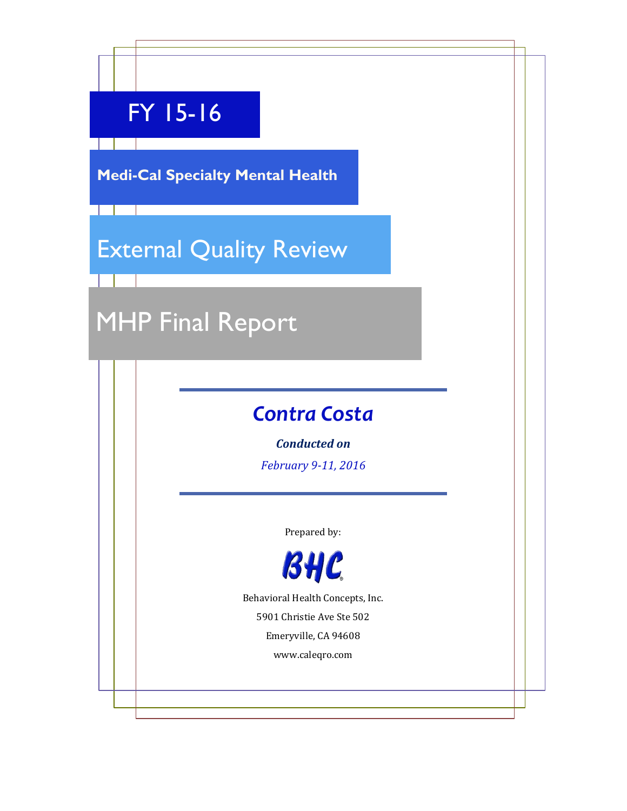# FY 15-16

**Medi-Cal Specialty Mental Health**

# External Quality Review

# MHP Final Report

# *Contra Costa*

*Conducted on*

*February 9-11, 2016*

Prepared by:



Behavioral Health Concepts, Inc.

5901 Christie Ave Ste 502

Emeryville, CA 94608

www.caleqro.com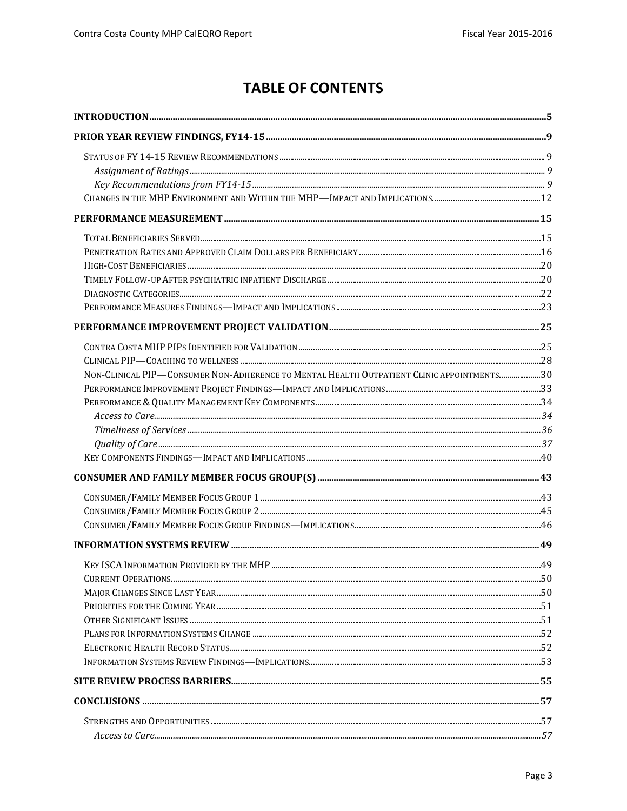# **TABLE OF CONTENTS**

| NON-CLINICAL PIP-CONSUMER NON-ADHERENCE TO MENTAL HEALTH OUTPATIENT CLINIC APPOINTMENTS30 |  |
|-------------------------------------------------------------------------------------------|--|
|                                                                                           |  |
|                                                                                           |  |
|                                                                                           |  |
|                                                                                           |  |
|                                                                                           |  |
|                                                                                           |  |
|                                                                                           |  |
|                                                                                           |  |
|                                                                                           |  |
|                                                                                           |  |
|                                                                                           |  |
|                                                                                           |  |
|                                                                                           |  |
|                                                                                           |  |
|                                                                                           |  |
|                                                                                           |  |
|                                                                                           |  |
|                                                                                           |  |
|                                                                                           |  |
|                                                                                           |  |
|                                                                                           |  |
|                                                                                           |  |
|                                                                                           |  |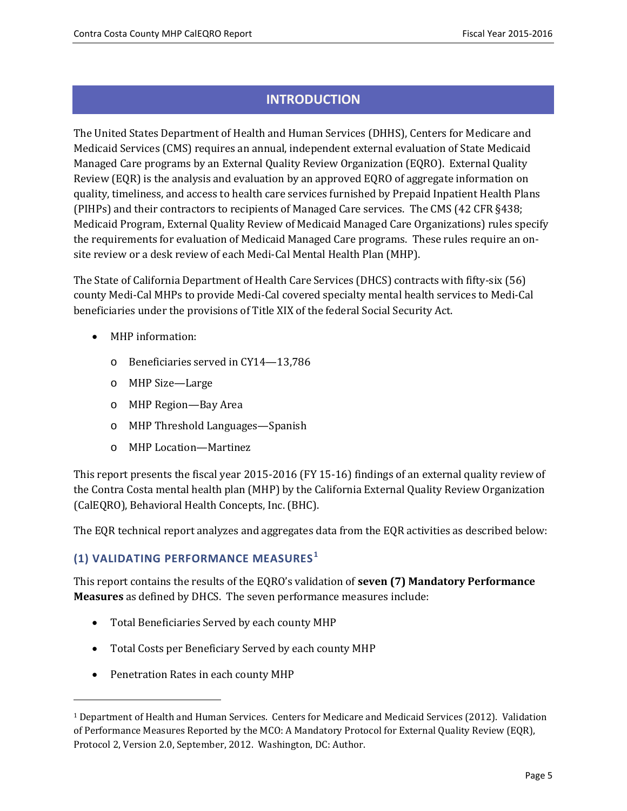# **INTRODUCTION**

<span id="page-4-0"></span>The United States Department of Health and Human Services (DHHS), Centers for Medicare and Medicaid Services (CMS) requires an annual, independent external evaluation of State Medicaid Managed Care programs by an External Quality Review Organization (EQRO). External Quality Review (EQR) is the analysis and evaluation by an approved EQRO of aggregate information on quality, timeliness, and access to health care services furnished by Prepaid Inpatient Health Plans (PIHPs) and their contractors to recipients of Managed Care services. The CMS (42 CFR §438; Medicaid Program, External Quality Review of Medicaid Managed Care Organizations) rules specify the requirements for evaluation of Medicaid Managed Care programs. These rules require an onsite review or a desk review of each Medi-Cal Mental Health Plan (MHP).

The State of California Department of Health Care Services (DHCS) contracts with fifty-six (56) county Medi-Cal MHPs to provide Medi-Cal covered specialty mental health services to Medi-Cal beneficiaries under the provisions of Title XIX of the federal Social Security Act.

- MHP information:
	- o Beneficiaries served in CY14—13,786
	- o MHP Size—Large
	- o MHP Region—Bay Area
	- o MHP Threshold Languages—Spanish
	- o MHP Location—Martinez

This report presents the fiscal year 2015-2016 (FY 15-16) findings of an external quality review of the Contra Costa mental health plan (MHP) by the California External Quality Review Organization (CalEQRO), Behavioral Health Concepts, Inc. (BHC).

The EQR technical report analyzes and aggregates data from the EQR activities as described below:

### **(1) VALIDATING PERFORMANCE MEASURES [1](#page-4-1)**

This report contains the results of the EQRO's validation of **seven (7) Mandatory Performance Measures** as defined by DHCS. The seven performance measures include:

- Total Beneficiaries Served by each county MHP
- Total Costs per Beneficiary Served by each county MHP
- Penetration Rates in each county MHP

j

<span id="page-4-1"></span><sup>1</sup> Department of Health and Human Services. Centers for Medicare and Medicaid Services (2012). Validation of Performance Measures Reported by the MCO: A Mandatory Protocol for External Quality Review (EQR), Protocol 2, Version 2.0, September, 2012. Washington, DC: Author.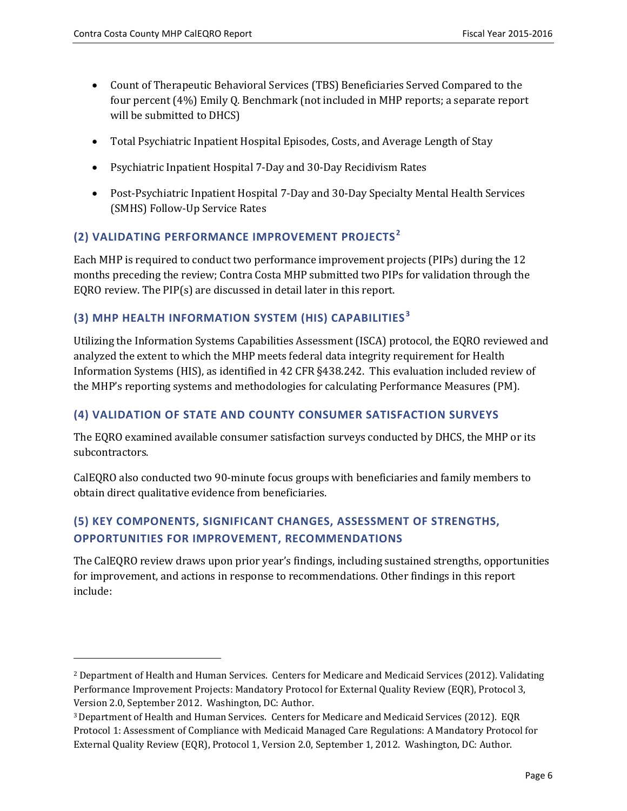l

- Count of Therapeutic Behavioral Services (TBS) Beneficiaries Served Compared to the four percent (4%) Emily Q. Benchmark (not included in MHP reports; a separate report will be submitted to DHCS)
- Total Psychiatric Inpatient Hospital Episodes, Costs, and Average Length of Stay
- Psychiatric Inpatient Hospital 7-Day and 30-Day Recidivism Rates
- Post-Psychiatric Inpatient Hospital 7-Day and 30-Day Specialty Mental Health Services (SMHS) Follow-Up Service Rates

# **(2) VALIDATING PERFORMANCE IMPROVEMENT PROJECTS [2](#page-5-0)**

Each MHP is required to conduct two performance improvement projects (PIPs) during the 12 months preceding the review; Contra Costa MHP submitted two PIPs for validation through the EQRO review. The PIP(s) are discussed in detail later in this report.

### **(3) MHP HEALTH INFORMATION SYSTEM (HIS) CAPABILITIES [3](#page-5-1)**

Utilizing the Information Systems Capabilities Assessment (ISCA) protocol, the EQRO reviewed and analyzed the extent to which the MHP meets federal data integrity requirement for Health Information Systems (HIS), as identified in 42 CFR §438.242. This evaluation included review of the MHP's reporting systems and methodologies for calculating Performance Measures (PM).

#### **(4) VALIDATION OF STATE AND COUNTY CONSUMER SATISFACTION SURVEYS**

The EQRO examined available consumer satisfaction surveys conducted by DHCS, the MHP or its subcontractors.

CalEQRO also conducted two 90-minute focus groups with beneficiaries and family members to obtain direct qualitative evidence from beneficiaries.

# **(5) KEY COMPONENTS, SIGNIFICANT CHANGES, ASSESSMENT OF STRENGTHS, OPPORTUNITIES FOR IMPROVEMENT, RECOMMENDATIONS**

The CalEQRO review draws upon prior year's findings, including sustained strengths, opportunities for improvement, and actions in response to recommendations. Other findings in this report include:

<span id="page-5-0"></span><sup>2</sup> Department of Health and Human Services. Centers for Medicare and Medicaid Services (2012). Validating Performance Improvement Projects: Mandatory Protocol for External Quality Review (EQR), Protocol 3, Version 2.0, September 2012. Washington, DC: Author.

<span id="page-5-1"></span><sup>3</sup>Department of Health and Human Services. Centers for Medicare and Medicaid Services (2012). EQR Protocol 1: Assessment of Compliance with Medicaid Managed Care Regulations: A Mandatory Protocol for External Quality Review (EQR), Protocol 1, Version 2.0, September 1, 2012. Washington, DC: Author.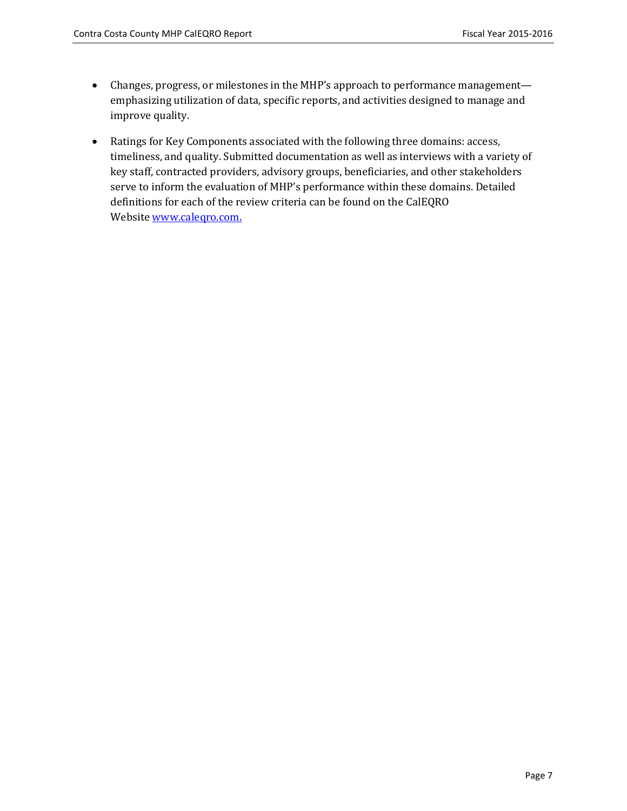- Changes, progress, or milestones in the MHP's approach to performance management emphasizing utilization of data, specific reports, and activities designed to manage and improve quality.
- Ratings for Key Components associated with the following three domains: access, timeliness, and quality. Submitted documentation as well as interviews with a variety of key staff, contracted providers, advisory groups, beneficiaries, and other stakeholders serve to inform the evaluation of MHP's performance within these domains. Detailed definitions for each of the review criteria can be found on the CalEQRO Website [www.caleqro.com](http://www.caleqro.com/).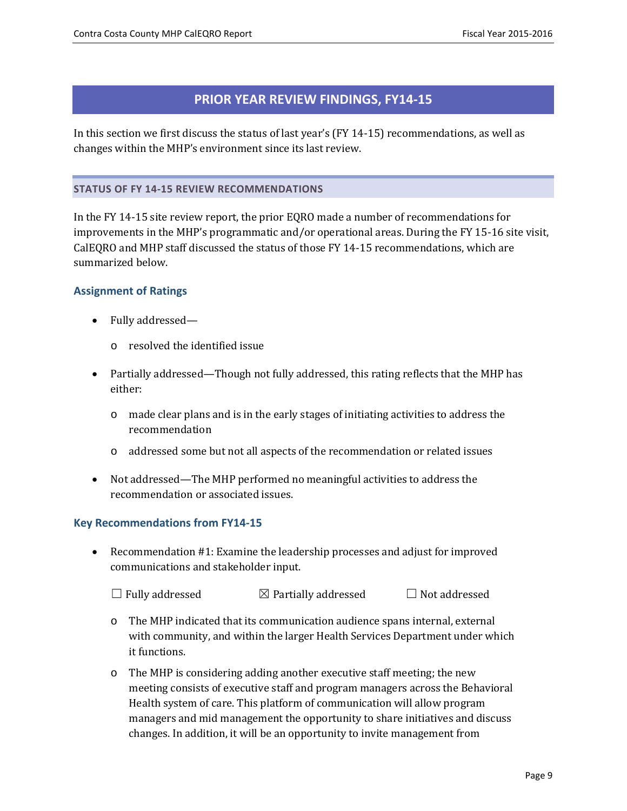# **PRIOR YEAR REVIEW FINDINGS, FY14-15**

<span id="page-8-0"></span>In this section we first discuss the status of last year's (FY 14-15) recommendations, as well as changes within the MHP's environment since its last review.

#### <span id="page-8-1"></span>**STATUS OF FY 14-15 REVIEW RECOMMENDATIONS**

In the FY 14-15 site review report, the prior EQRO made a number of recommendations for improvements in the MHP's programmatic and/or operational areas. During the FY 15-16 site visit, CalEQRO and MHP staff discussed the status of those FY 14-15 recommendations, which are summarized below.

#### <span id="page-8-2"></span>**Assignment of Ratings**

- Fully addressed
	- o resolved the identified issue
- Partially addressed—Though not fully addressed, this rating reflects that the MHP has either:
	- o made clear plans and is in the early stages of initiating activities to address the recommendation
	- o addressed some but not all aspects of the recommendation or related issues
- Not addressed—The MHP performed no meaningful activities to address the recommendation or associated issues.

#### <span id="page-8-3"></span>**Key Recommendations from FY14-15**

• Recommendation #1: Examine the leadership processes and adjust for improved communications and stakeholder input.

 $\Box$  Fully addressed  $\Box$  Partially addressed  $\Box$  Not addressed

- o The MHP indicated that its communication audience spans internal, external with community, and within the larger Health Services Department under which it functions.
- o The MHP is considering adding another executive staff meeting; the new meeting consists of executive staff and program managers across the Behavioral Health system of care. This platform of communication will allow program managers and mid management the opportunity to share initiatives and discuss changes. In addition, it will be an opportunity to invite management from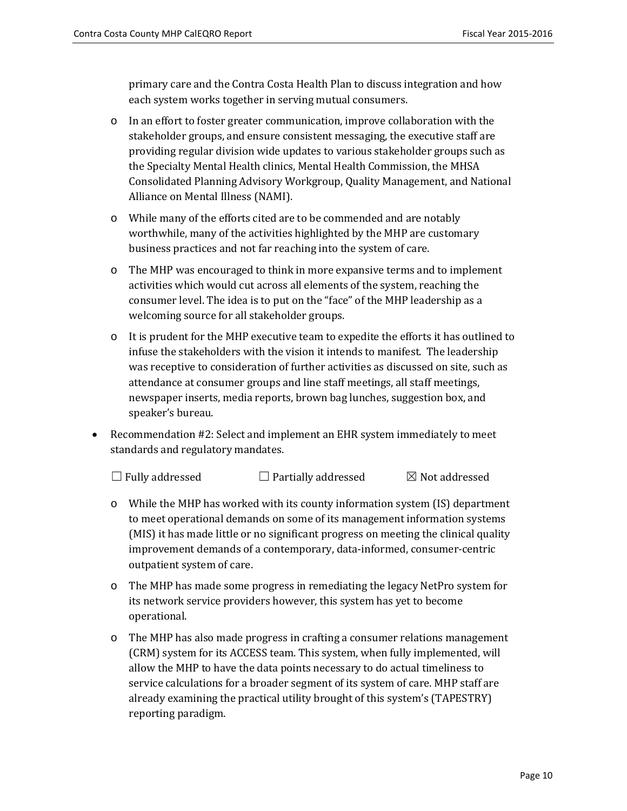primary care and the Contra Costa Health Plan to discuss integration and how each system works together in serving mutual consumers.

- o In an effort to foster greater communication, improve collaboration with the stakeholder groups, and ensure consistent messaging, the executive staff are providing regular division wide updates to various stakeholder groups such as the Specialty Mental Health clinics, Mental Health Commission, the MHSA Consolidated Planning Advisory Workgroup, Quality Management, and National Alliance on Mental Illness (NAMI).
- o While many of the efforts cited are to be commended and are notably worthwhile, many of the activities highlighted by the MHP are customary business practices and not far reaching into the system of care.
- o The MHP was encouraged to think in more expansive terms and to implement activities which would cut across all elements of the system, reaching the consumer level. The idea is to put on the "face" of the MHP leadership as a welcoming source for all stakeholder groups.
- o It is prudent for the MHP executive team to expedite the efforts it has outlined to infuse the stakeholders with the vision it intends to manifest. The leadership was receptive to consideration of further activities as discussed on site, such as attendance at consumer groups and line staff meetings, all staff meetings, newspaper inserts, media reports, brown bag lunches, suggestion box, and speaker's bureau.
- Recommendation #2: Select and implement an EHR system immediately to meet standards and regulatory mandates.
	- $\Box$  Fully addressed  $\Box$  Partially addressed  $\Box$  Not addressed
	- o While the MHP has worked with its county information system (IS) department to meet operational demands on some of its management information systems (MIS) it has made little or no significant progress on meeting the clinical quality improvement demands of a contemporary, data-informed, consumer-centric outpatient system of care.
	- o The MHP has made some progress in remediating the legacy NetPro system for its network service providers however, this system has yet to become operational.
	- o The MHP has also made progress in crafting a consumer relations management (CRM) system for its ACCESS team. This system, when fully implemented, will allow the MHP to have the data points necessary to do actual timeliness to service calculations for a broader segment of its system of care. MHP staff are already examining the practical utility brought of this system's (TAPESTRY) reporting paradigm.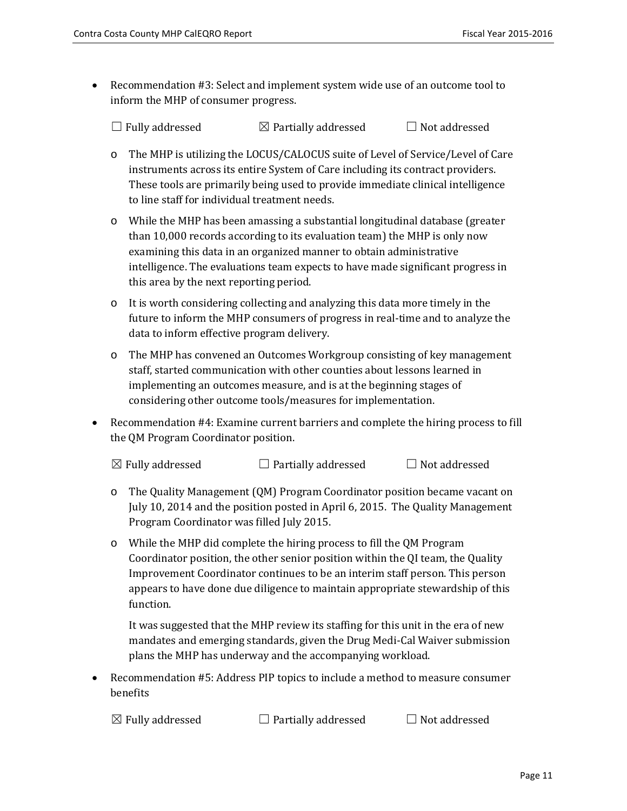• Recommendation #3: Select and implement system wide use of an outcome tool to inform the MHP of consumer progress.

 $\Box$  Fully addressed  $\Box$  Partially addressed  $\Box$  Not addressed

- o The MHP is utilizing the LOCUS/CALOCUS suite of Level of Service/Level of Care instruments across its entire System of Care including its contract providers. These tools are primarily being used to provide immediate clinical intelligence to line staff for individual treatment needs.
- o While the MHP has been amassing a substantial longitudinal database (greater than 10,000 records according to its evaluation team) the MHP is only now examining this data in an organized manner to obtain administrative intelligence. The evaluations team expects to have made significant progress in this area by the next reporting period.
- o It is worth considering collecting and analyzing this data more timely in the future to inform the MHP consumers of progress in real-time and to analyze the data to inform effective program delivery.
- o The MHP has convened an Outcomes Workgroup consisting of key management staff, started communication with other counties about lessons learned in implementing an outcomes measure, and is at the beginning stages of considering other outcome tools/measures for implementation.
- Recommendation #4: Examine current barriers and complete the hiring process to fill the QM Program Coordinator position.

 $\boxtimes$  Fully addressed  $\Box$  Partially addressed  $\Box$  Not addressed

- o The Quality Management (QM) Program Coordinator position became vacant on July 10, 2014 and the position posted in April 6, 2015. The Quality Management Program Coordinator was filled July 2015.
- o While the MHP did complete the hiring process to fill the QM Program Coordinator position, the other senior position within the QI team, the Quality Improvement Coordinator continues to be an interim staff person. This person appears to have done due diligence to maintain appropriate stewardship of this function.

It was suggested that the MHP review its staffing for this unit in the era of new mandates and emerging standards, given the Drug Medi-Cal Waiver submission plans the MHP has underway and the accompanying workload.

• Recommendation #5: Address PIP topics to include a method to measure consumer benefits

 $\boxtimes$  Fully addressed  $\Box$  Partially addressed  $\Box$  Not addressed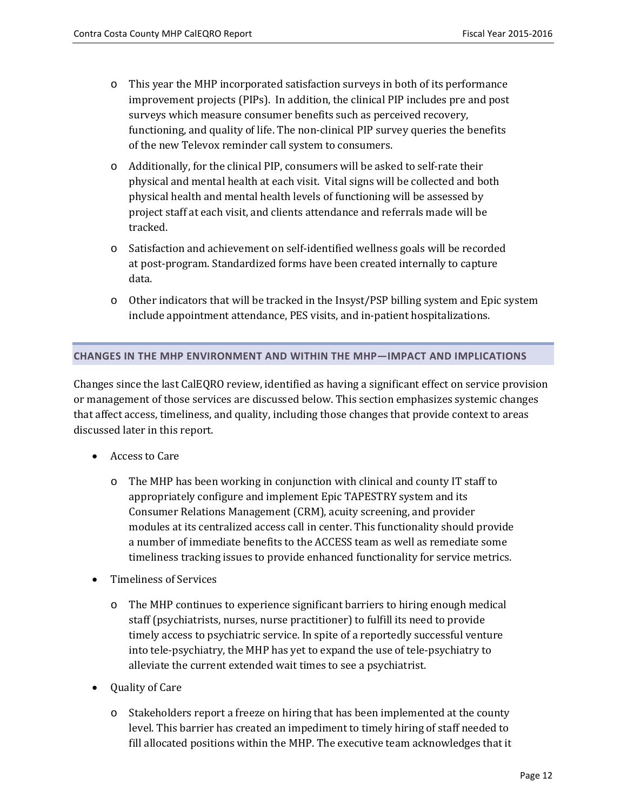- o This year the MHP incorporated satisfaction surveys in both of its performance improvement projects (PIPs). In addition, the clinical PIP includes pre and post surveys which measure consumer benefits such as perceived recovery, functioning, and quality of life. The non-clinical PIP survey queries the benefits of the new Televox reminder call system to consumers.
- o Additionally, for the clinical PIP, consumers will be asked to self-rate their physical and mental health at each visit. Vital signs will be collected and both physical health and mental health levels of functioning will be assessed by project staff at each visit, and clients attendance and referrals made will be tracked.
- o Satisfaction and achievement on self-identified wellness goals will be recorded at post-program. Standardized forms have been created internally to capture data.
- o Other indicators that will be tracked in the Insyst/PSP billing system and Epic system include appointment attendance, PES visits, and in-patient hospitalizations.

#### <span id="page-11-0"></span>**CHANGES IN THE MHP ENVIRONMENT AND WITHIN THE MHP—IMPACT AND IMPLICATIONS**

Changes since the last CalEQRO review, identified as having a significant effect on service provision or management of those services are discussed below. This section emphasizes systemic changes that affect access, timeliness, and quality, including those changes that provide context to areas discussed later in this report.

- Access to Care
	- o The MHP has been working in conjunction with clinical and county IT staff to appropriately configure and implement Epic TAPESTRY system and its Consumer Relations Management (CRM), acuity screening, and provider modules at its centralized access call in center. This functionality should provide a number of immediate benefits to the ACCESS team as well as remediate some timeliness tracking issues to provide enhanced functionality for service metrics.
- Timeliness of Services
	- o The MHP continues to experience significant barriers to hiring enough medical staff (psychiatrists, nurses, nurse practitioner) to fulfill its need to provide timely access to psychiatric service. In spite of a reportedly successful venture into tele-psychiatry, the MHP has yet to expand the use of tele-psychiatry to alleviate the current extended wait times to see a psychiatrist.
- Quality of Care
	- o Stakeholders report a freeze on hiring that has been implemented at the county level. This barrier has created an impediment to timely hiring of staff needed to fill allocated positions within the MHP. The executive team acknowledges that it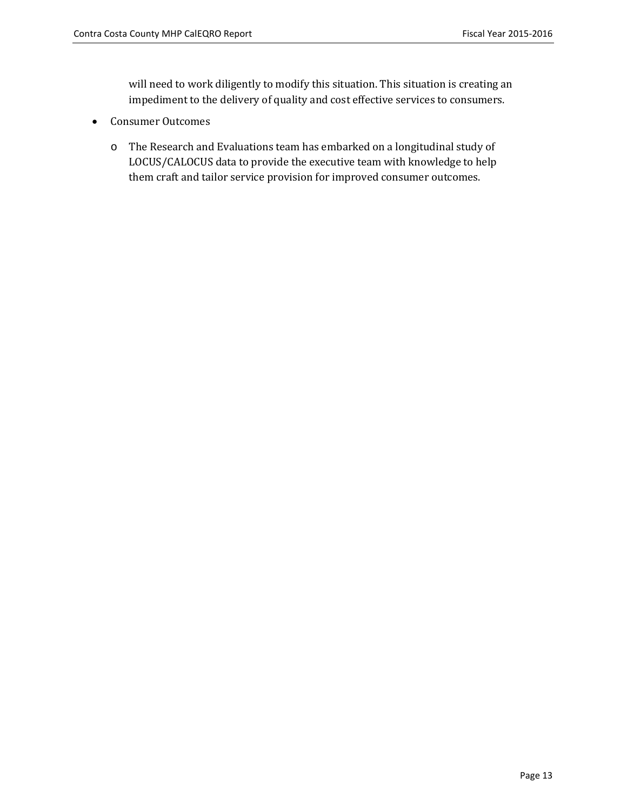will need to work diligently to modify this situation. This situation is creating an impediment to the delivery of quality and cost effective services to consumers.

- Consumer Outcomes
	- o The Research and Evaluations team has embarked on a longitudinal study of LOCUS/CALOCUS data to provide the executive team with knowledge to help them craft and tailor service provision for improved consumer outcomes.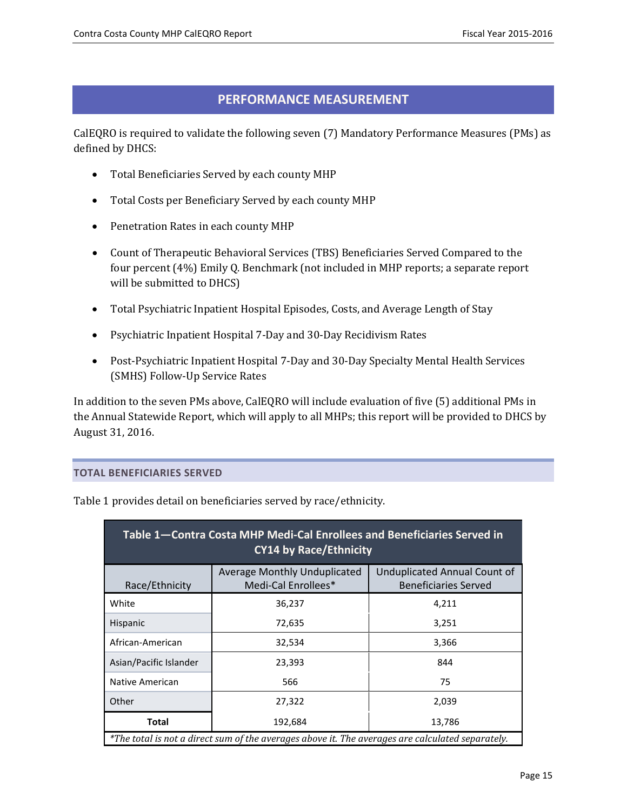## **PERFORMANCE MEASUREMENT**

<span id="page-14-0"></span>CalEQRO is required to validate the following seven (7) Mandatory Performance Measures (PMs) as defined by DHCS:

- Total Beneficiaries Served by each county MHP
- Total Costs per Beneficiary Served by each county MHP
- Penetration Rates in each county MHP
- Count of Therapeutic Behavioral Services (TBS) Beneficiaries Served Compared to the four percent (4%) Emily Q. Benchmark (not included in MHP reports; a separate report will be submitted to DHCS)
- Total Psychiatric Inpatient Hospital Episodes, Costs, and Average Length of Stay
- Psychiatric Inpatient Hospital 7-Day and 30-Day Recidivism Rates
- Post-Psychiatric Inpatient Hospital 7-Day and 30-Day Specialty Mental Health Services (SMHS) Follow-Up Service Rates

In addition to the seven PMs above, CalEQRO will include evaluation of five (5) additional PMs in the Annual Statewide Report, which will apply to all MHPs; this report will be provided to DHCS by August 31, 2016.

#### <span id="page-14-1"></span>**TOTAL BENEFICIARIES SERVED**

| Table 1-Contra Costa MHP Medi-Cal Enrollees and Beneficiaries Served in<br><b>CY14 by Race/Ethnicity</b> |                                                     |                                                             |  |  |
|----------------------------------------------------------------------------------------------------------|-----------------------------------------------------|-------------------------------------------------------------|--|--|
| Race/Ethnicity                                                                                           | Average Monthly Unduplicated<br>Medi-Cal Enrollees* | Unduplicated Annual Count of<br><b>Beneficiaries Served</b> |  |  |
| White                                                                                                    | 36,237                                              | 4,211                                                       |  |  |
| <b>Hispanic</b>                                                                                          | 72,635                                              | 3,251                                                       |  |  |
| African-American                                                                                         | 32,534                                              | 3,366                                                       |  |  |
| Asian/Pacific Islander<br>844<br>23,393                                                                  |                                                     |                                                             |  |  |
| Native American                                                                                          | 75<br>566                                           |                                                             |  |  |
| <b>Other</b>                                                                                             | 27,322                                              | 2,039                                                       |  |  |
| Total                                                                                                    | 192,684                                             | 13,786                                                      |  |  |
| *The total is not a direct sum of the averages above it. The averages are calculated separately.         |                                                     |                                                             |  |  |

Table 1 provides detail on beneficiaries served by race/ethnicity.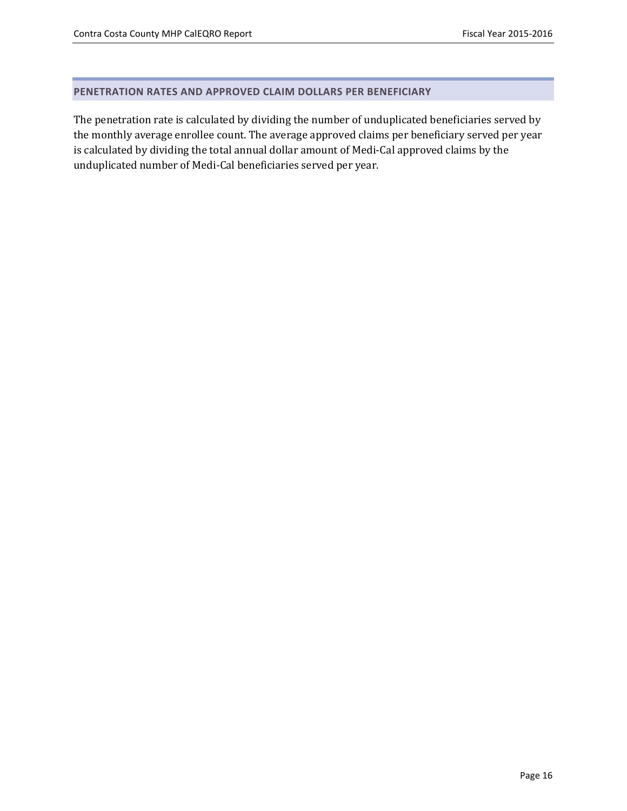#### <span id="page-15-0"></span>**PENETRATION RATES AND APPROVED CLAIM DOLLARS PER BENEFICIARY**

The penetration rate is calculated by dividing the number of unduplicated beneficiaries served by the monthly average enrollee count. The average approved claims per beneficiary served per year is calculated by dividing the total annual dollar amount of Medi-Cal approved claims by the unduplicated number of Medi-Cal beneficiaries served per year.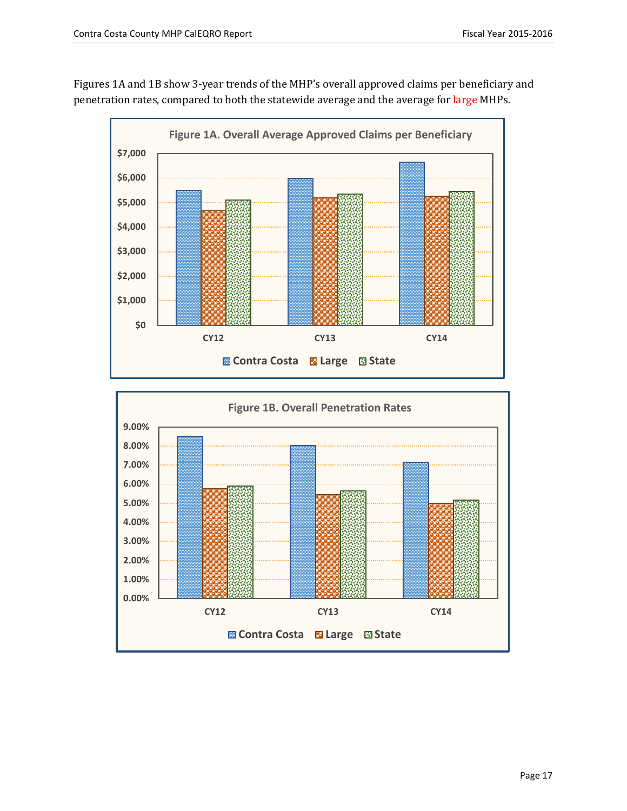Figures 1A and 1B show 3-year trends of the MHP's overall approved claims per beneficiary and penetration rates, compared to both the statewide average and the average for large MHPs.



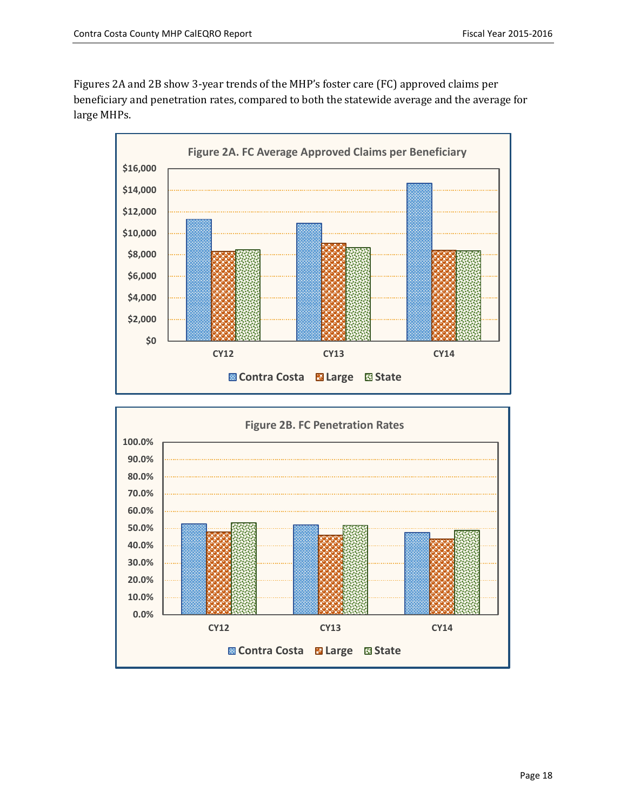Figures 2A and 2B show 3-year trends of the MHP's foster care (FC) approved claims per beneficiary and penetration rates, compared to both the statewide average and the average for large MHPs.



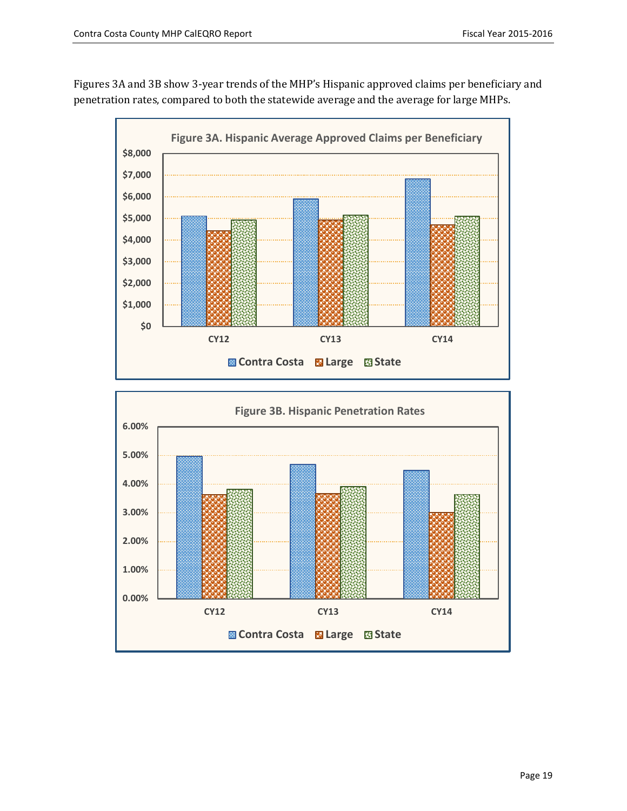Figures 3A and 3B show 3-year trends of the MHP's Hispanic approved claims per beneficiary and penetration rates, compared to both the statewide average and the average for large MHPs.



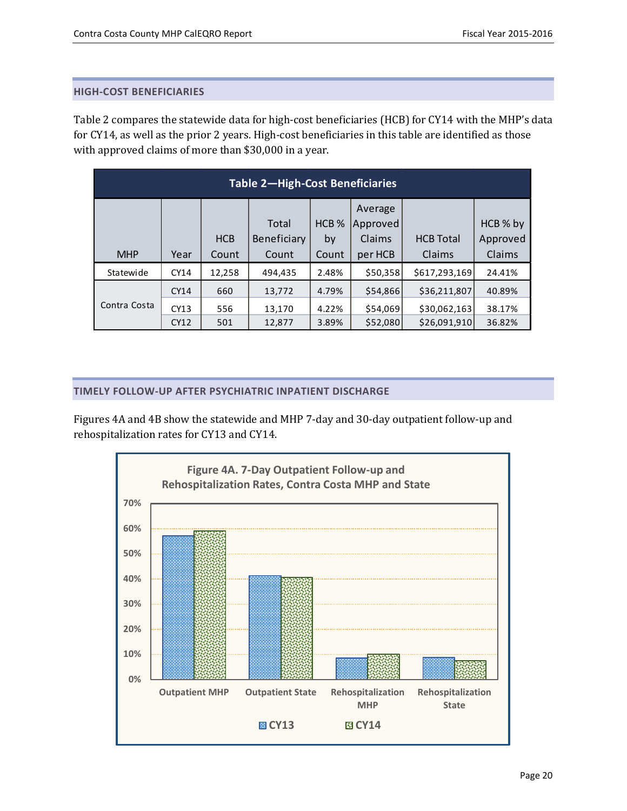#### <span id="page-19-0"></span>**HIGH-COST BENEFICIARIES**

Table 2 compares the statewide data for high-cost beneficiaries (HCB) for CY14 with the MHP's data for CY14, as well as the prior 2 years. High-cost beneficiaries in this table are identified as those with approved claims of more than \$30,000 in a year.

| Table 2-High-Cost Beneficiaries |             |            |             |                  |          |                  |          |
|---------------------------------|-------------|------------|-------------|------------------|----------|------------------|----------|
|                                 |             |            |             |                  | Average  |                  |          |
|                                 |             |            | Total       | HCB <sub>%</sub> | Approved |                  | HCB % by |
|                                 |             | <b>HCB</b> | Beneficiary | by               | Claims   | <b>HCB Total</b> | Approved |
| <b>MHP</b>                      | Year        | Count      | Count       | Count            | per HCB  | Claims           | Claims   |
| Statewide                       | <b>CY14</b> | 12,258     | 494,435     | 2.48%            | \$50,358 | \$617,293,169    | 24.41%   |
|                                 | <b>CY14</b> | 660        | 13,772      | 4.79%            | \$54,866 | \$36,211,807     | 40.89%   |
| Contra Costa                    | CY13        | 556        | 13,170      | 4.22%            | \$54,069 | \$30,062,163     | 38.17%   |
|                                 | <b>CY12</b> | 501        | 12,877      | 3.89%            | \$52,080 | \$26,091,910     | 36.82%   |

#### <span id="page-19-1"></span>**TIMELY FOLLOW-UP AFTER PSYCHIATRIC INPATIENT DISCHARGE**

Figures 4A and 4B show the statewide and MHP 7-day and 30-day outpatient follow-up and rehospitalization rates for CY13 and CY14.

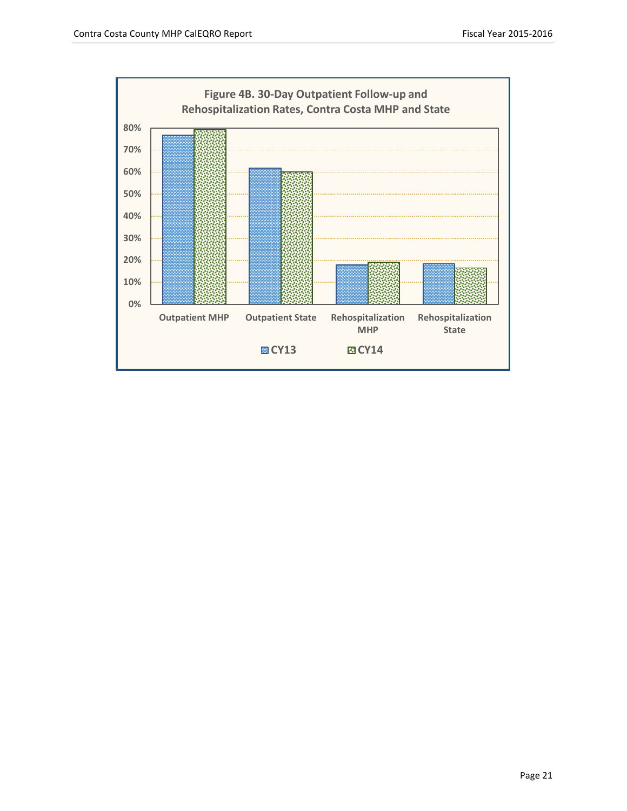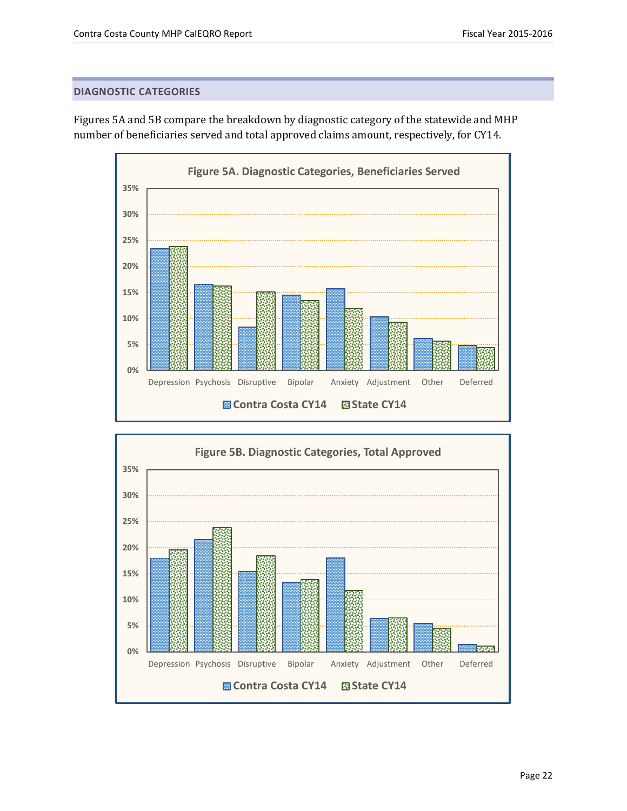#### <span id="page-21-0"></span>**DIAGNOSTIC CATEGORIES**



Figures 5A and 5B compare the breakdown by diagnostic category of the statewide and MHP number of beneficiaries served and total approved claims amount, respectively, for CY14.

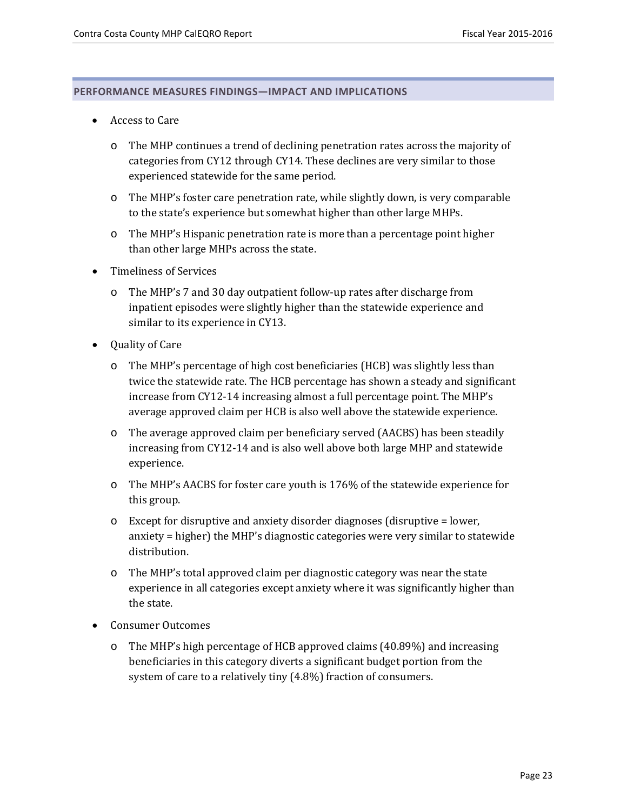#### <span id="page-22-0"></span>**PERFORMANCE MEASURES FINDINGS—IMPACT AND IMPLICATIONS**

- Access to Care
	- o The MHP continues a trend of declining penetration rates across the majority of categories from CY12 through CY14. These declines are very similar to those experienced statewide for the same period.
	- o The MHP's foster care penetration rate, while slightly down, is very comparable to the state's experience but somewhat higher than other large MHPs.
	- o The MHP's Hispanic penetration rate is more than a percentage point higher than other large MHPs across the state.
- Timeliness of Services
	- o The MHP's 7 and 30 day outpatient follow-up rates after discharge from inpatient episodes were slightly higher than the statewide experience and similar to its experience in CY13.
- Quality of Care
	- o The MHP's percentage of high cost beneficiaries (HCB) was slightly less than twice the statewide rate. The HCB percentage has shown a steady and significant increase from CY12-14 increasing almost a full percentage point. The MHP's average approved claim per HCB is also well above the statewide experience.
	- o The average approved claim per beneficiary served (AACBS) has been steadily increasing from CY12-14 and is also well above both large MHP and statewide experience.
	- o The MHP's AACBS for foster care youth is 176% of the statewide experience for this group.
	- $\circ$  Except for disruptive and anxiety disorder diagnoses (disruptive = lower, anxiety = higher) the MHP's diagnostic categories were very similar to statewide distribution.
	- o The MHP's total approved claim per diagnostic category was near the state experience in all categories except anxiety where it was significantly higher than the state.
- Consumer Outcomes
	- o The MHP's high percentage of HCB approved claims (40.89%) and increasing beneficiaries in this category diverts a significant budget portion from the system of care to a relatively tiny (4.8%) fraction of consumers.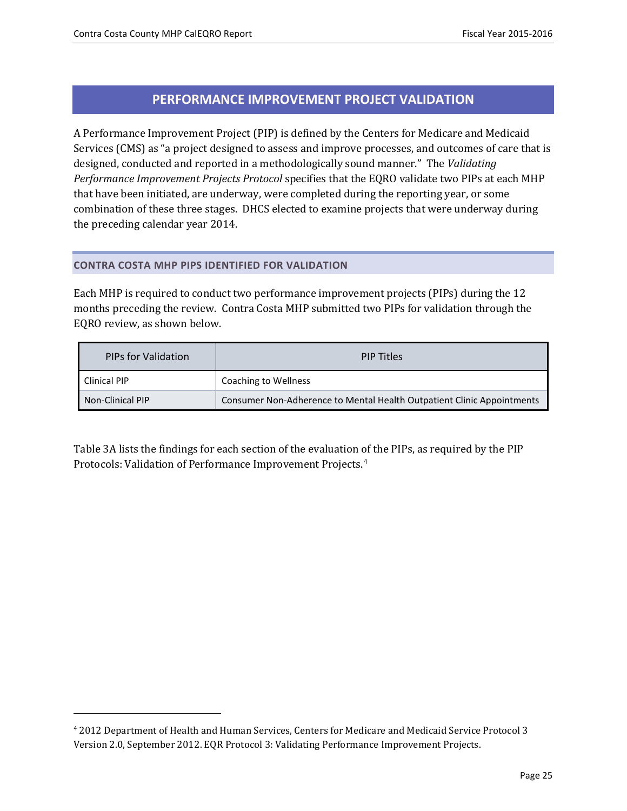j

## **PERFORMANCE IMPROVEMENT PROJECT VALIDATION**

<span id="page-24-0"></span>A Performance Improvement Project (PIP) is defined by the Centers for Medicare and Medicaid Services (CMS) as "a project designed to assess and improve processes, and outcomes of care that is designed, conducted and reported in a methodologically sound manner." The *Validating Performance Improvement Projects Protocol* specifies that the EQRO validate two PIPs at each MHP that have been initiated, are underway, were completed during the reporting year, or some combination of these three stages. DHCS elected to examine projects that were underway during the preceding calendar year 2014.

#### <span id="page-24-1"></span>**CONTRA COSTA MHP PIPS IDENTIFIED FOR VALIDATION**

Each MHP is required to conduct two performance improvement projects (PIPs) during the 12 months preceding the review. Contra Costa MHP submitted two PIPs for validation through the EQRO review, as shown below.

| <b>PIPs for Validation</b> | <b>PIP Titles</b>                                                      |  |
|----------------------------|------------------------------------------------------------------------|--|
| <b>Clinical PIP</b>        | Coaching to Wellness                                                   |  |
| Non-Clinical PIP           | Consumer Non-Adherence to Mental Health Outpatient Clinic Appointments |  |

Table 3A lists the findings for each section of the evaluation of the PIPs, as required by the PIP Protocols: Validation of Performance Improvement Projects.[4](#page-24-2)

<span id="page-24-2"></span><sup>4</sup> 2012 Department of Health and Human Services, Centers for Medicare and Medicaid Service Protocol 3 Version 2.0, September 2012. EQR Protocol 3: Validating Performance Improvement Projects.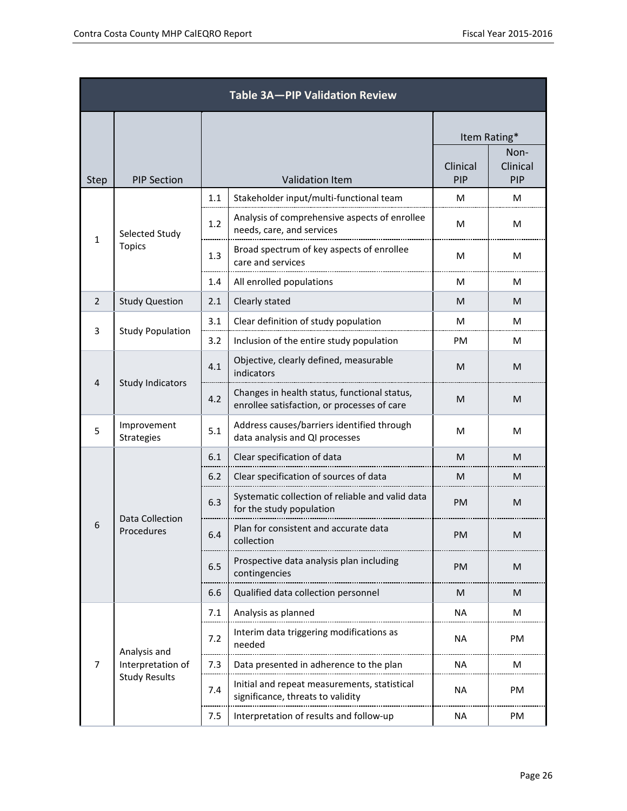| Table 3A-PIP Validation Review |                                      |              |                                                                                             |                 |                         |
|--------------------------------|--------------------------------------|--------------|---------------------------------------------------------------------------------------------|-----------------|-------------------------|
|                                |                                      | Item Rating* |                                                                                             |                 |                         |
| <b>Step</b>                    | <b>PIP Section</b>                   |              | <b>Validation Item</b>                                                                      | Clinical<br>PIP | Non-<br>Clinical<br>PIP |
|                                |                                      | 1.1          | Stakeholder input/multi-functional team                                                     | M               | м                       |
|                                | Selected Study                       | 1.2          | Analysis of comprehensive aspects of enrollee<br>needs, care, and services                  | м               | м                       |
| $\mathbf{1}$                   | Topics                               | 1.3          | Broad spectrum of key aspects of enrollee<br>care and services                              | м               | M                       |
|                                |                                      | 1.4          | All enrolled populations                                                                    | м               | M                       |
| $\overline{2}$                 | <b>Study Question</b>                | 2.1          | Clearly stated                                                                              | M               | M                       |
|                                |                                      | 3.1          | Clear definition of study population                                                        | м               | M                       |
| 3                              | <b>Study Population</b>              | 3.2          | Inclusion of the entire study population                                                    | PM              | м                       |
| <b>Study Indicators</b><br>4   |                                      | 4.1          | Objective, clearly defined, measurable<br>indicators                                        | M               | м                       |
|                                |                                      | 4.2          | Changes in health status, functional status,<br>enrollee satisfaction, or processes of care | M               | M                       |
| 5                              | Improvement<br><b>Strategies</b>     | 5.1          | Address causes/barriers identified through<br>data analysis and QI processes                | м               | м                       |
|                                |                                      | 6.1          | Clear specification of data                                                                 | M               | M                       |
|                                |                                      |              | Clear specification of sources of data                                                      | M               | M                       |
|                                |                                      | 6.3          | Systematic collection of reliable and valid data<br>for the study population                | PM              | M                       |
| 6                              | <b>Data Collection</b><br>Procedures | 6.4          | Plan for consistent and accurate data<br>collection                                         | PM              | M                       |
|                                |                                      | 6.5          | Prospective data analysis plan including<br>contingencies                                   | <b>PM</b>       | M                       |
|                                |                                      | 6.6          | Qualified data collection personnel                                                         | M               | M                       |
|                                |                                      | 7.1          | Analysis as planned                                                                         | NA              | М                       |
|                                | Analysis and                         | 7.2          | Interim data triggering modifications as<br>needed                                          | NA              | PM                      |
| 7                              | Interpretation of                    | 7.3          | Data presented in adherence to the plan                                                     | NA              | M                       |
|                                | <b>Study Results</b>                 | 7.4          | Initial and repeat measurements, statistical<br>significance, threats to validity           | NA              | PM                      |
|                                |                                      | 7.5          | Interpretation of results and follow-up                                                     | NA              | PM                      |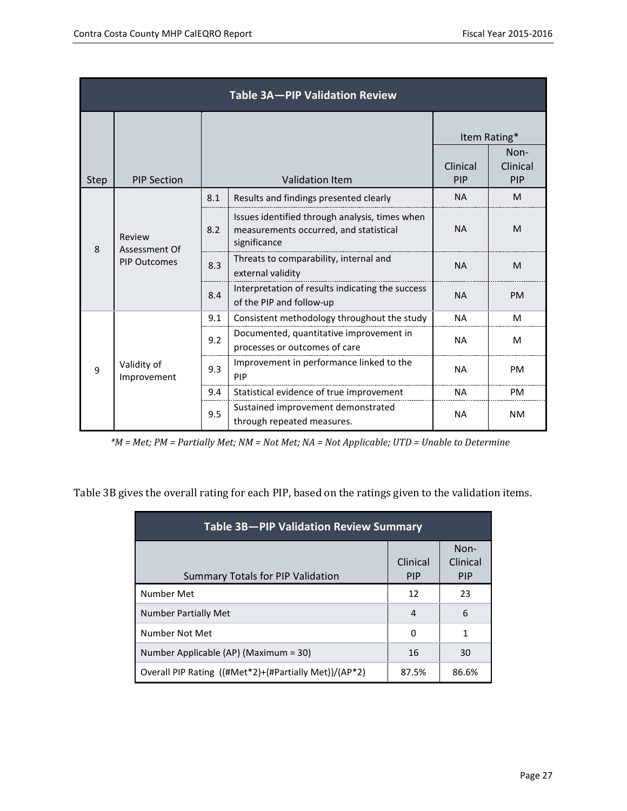|                              | Table 3A-PIP Validation Review |     |                                                                                                          |           |                                  |
|------------------------------|--------------------------------|-----|----------------------------------------------------------------------------------------------------------|-----------|----------------------------------|
|                              |                                |     |                                                                                                          | Clinical  | Item Rating*<br>Non-<br>Clinical |
| <b>Step</b>                  | <b>PIP Section</b>             |     | <b>Validation Item</b>                                                                                   | PIP       | PIP                              |
|                              |                                | 8.1 | Results and findings presented clearly                                                                   | <b>NA</b> | M                                |
| Review<br>8<br>Assessment Of |                                | 8.2 | Issues identified through analysis, times when<br>measurements occurred, and statistical<br>significance | <b>NA</b> | M                                |
|                              | <b>PIP Outcomes</b>            | 8.3 | Threats to comparability, internal and<br>external validity                                              | <b>NA</b> | M                                |
|                              |                                | 8.4 | Interpretation of results indicating the success<br>of the PIP and follow-up                             | <b>NA</b> | PM                               |
|                              |                                | 9.1 | Consistent methodology throughout the study                                                              | <b>NA</b> | М                                |
| $\mathbf{q}$                 |                                | 9.2 | Documented, quantitative improvement in<br>processes or outcomes of care                                 | <b>NA</b> | м                                |
|                              | Validity of<br>Improvement     | 9.3 | Improvement in performance linked to the<br>PIP                                                          | <b>NA</b> | PM                               |
|                              |                                | 9.4 | Statistical evidence of true improvement                                                                 | <b>NA</b> | PM                               |
|                              |                                | 9.5 | Sustained improvement demonstrated<br>through repeated measures.                                         | <b>NA</b> | <b>NM</b>                        |

*\*M = Met; PM = Partially Met; NM = Not Met; NA = Not Applicable; UTD = Unable to Determine*

Table 3B gives the overall rating for each PIP, based on the ratings given to the validation items.

| Table 3B-PIP Validation Review Summary                |                        |                                |  |  |
|-------------------------------------------------------|------------------------|--------------------------------|--|--|
| <b>Summary Totals for PIP Validation</b>              | Clinical<br><b>PIP</b> | Non-<br>Clinical<br><b>PIP</b> |  |  |
| Number Met                                            | 12                     | 23                             |  |  |
| <b>Number Partially Met</b>                           | 4                      | 6                              |  |  |
| Number Not Met                                        | 0                      |                                |  |  |
| Number Applicable (AP) (Maximum = 30)                 | 16                     | 30                             |  |  |
| Overall PIP Rating ((#Met*2)+(#Partially Met))/(AP*2) | 87.5%                  | 86.6%                          |  |  |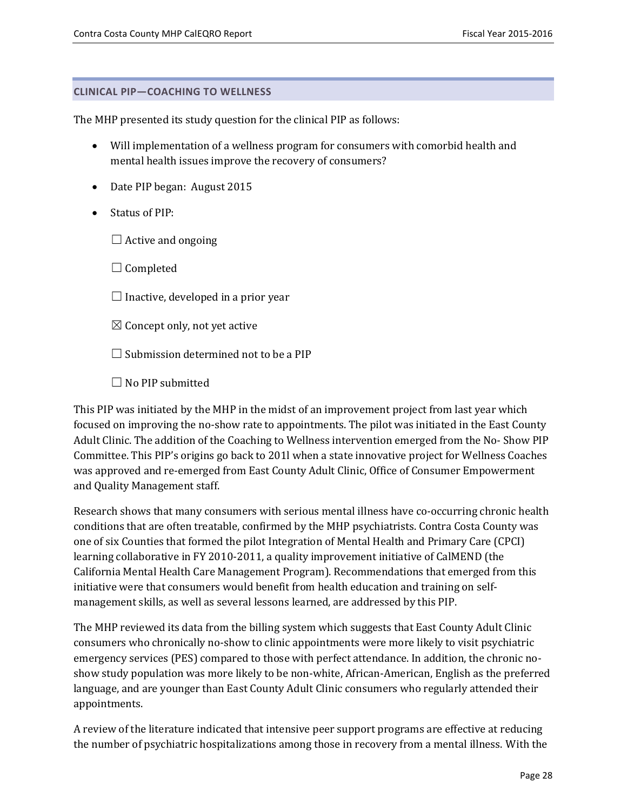#### <span id="page-27-0"></span>**CLINICAL PIP—COACHING TO WELLNESS**

The MHP presented its study question for the clinical PIP as follows:

- Will implementation of a wellness program for consumers with comorbid health and mental health issues improve the recovery of consumers?
- Date PIP began: August 2015
- Status of PIP:
	- $\Box$  Active and ongoing

 $\Box$  Completed

- $\Box$  Inactive, developed in a prior year
- $\boxtimes$  Concept only, not yet active

 $\Box$  Submission determined not to be a PIP

 $\Box$  No PIP submitted

This PIP was initiated by the MHP in the midst of an improvement project from last year which focused on improving the no-show rate to appointments. The pilot was initiated in the East County Adult Clinic. The addition of the Coaching to Wellness intervention emerged from the No- Show PIP Committee. This PIP's origins go back to 201l when a state innovative project for Wellness Coaches was approved and re-emerged from East County Adult Clinic, Office of Consumer Empowerment and Quality Management staff.

Research shows that many consumers with serious mental illness have co-occurring chronic health conditions that are often treatable, confirmed by the MHP psychiatrists. Contra Costa County was one of six Counties that formed the pilot Integration of Mental Health and Primary Care (CPCI) learning collaborative in FY 2010-2011, a quality improvement initiative of CalMEND (the California Mental Health Care Management Program). Recommendations that emerged from this initiative were that consumers would benefit from health education and training on selfmanagement skills, as well as several lessons learned, are addressed by this PIP.

The MHP reviewed its data from the billing system which suggests that East County Adult Clinic consumers who chronically no-show to clinic appointments were more likely to visit psychiatric emergency services (PES) compared to those with perfect attendance. In addition, the chronic noshow study population was more likely to be non-white, African-American, English as the preferred language, and are younger than East County Adult Clinic consumers who regularly attended their appointments.

A review of the literature indicated that intensive peer support programs are effective at reducing the number of psychiatric hospitalizations among those in recovery from a mental illness. With the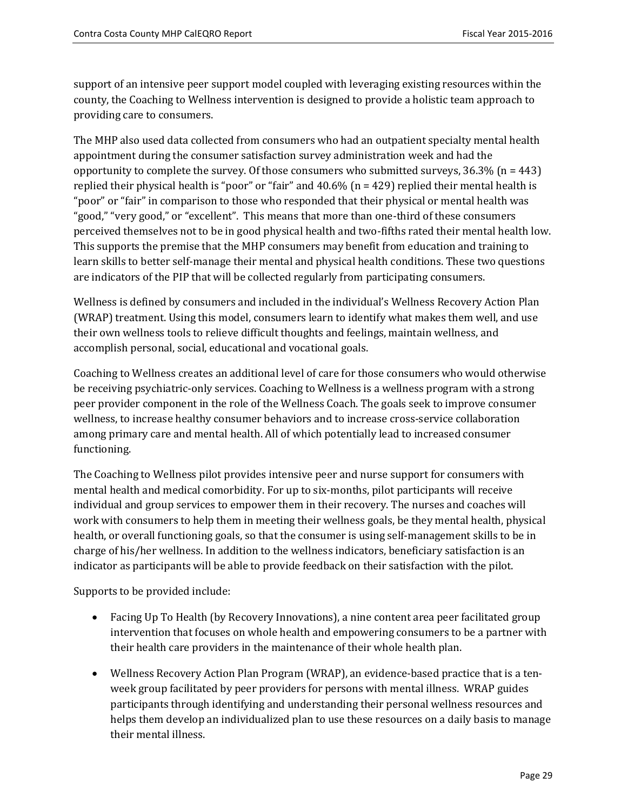support of an intensive peer support model coupled with leveraging existing resources within the county, the Coaching to Wellness intervention is designed to provide a holistic team approach to providing care to consumers.

The MHP also used data collected from consumers who had an outpatient specialty mental health appointment during the consumer satisfaction survey administration week and had the opportunity to complete the survey. Of those consumers who submitted surveys,  $36.3\%$  (n = 443) replied their physical health is "poor" or "fair" and 40.6% (n = 429) replied their mental health is "poor" or "fair" in comparison to those who responded that their physical or mental health was "good," "very good," or "excellent". This means that more than one-third of these consumers perceived themselves not to be in good physical health and two-fifths rated their mental health low. This supports the premise that the MHP consumers may benefit from education and training to learn skills to better self-manage their mental and physical health conditions. These two questions are indicators of the PIP that will be collected regularly from participating consumers.

Wellness is defined by consumers and included in the individual's Wellness Recovery Action Plan (WRAP) treatment. Using this model, consumers learn to identify what makes them well, and use their own wellness tools to relieve difficult thoughts and feelings, maintain wellness, and accomplish personal, social, educational and vocational goals.

Coaching to Wellness creates an additional level of care for those consumers who would otherwise be receiving psychiatric-only services. Coaching to Wellness is a wellness program with a strong peer provider component in the role of the Wellness Coach. The goals seek to improve consumer wellness, to increase healthy consumer behaviors and to increase cross-service collaboration among primary care and mental health. All of which potentially lead to increased consumer functioning.

The Coaching to Wellness pilot provides intensive peer and nurse support for consumers with mental health and medical comorbidity. For up to six-months, pilot participants will receive individual and group services to empower them in their recovery. The nurses and coaches will work with consumers to help them in meeting their wellness goals, be they mental health, physical health, or overall functioning goals, so that the consumer is using self-management skills to be in charge of his/her wellness. In addition to the wellness indicators, beneficiary satisfaction is an indicator as participants will be able to provide feedback on their satisfaction with the pilot.

Supports to be provided include:

- Facing Up To Health (by Recovery Innovations), a nine content area peer facilitated group intervention that focuses on whole health and empowering consumers to be a partner with their health care providers in the maintenance of their whole health plan.
- Wellness Recovery Action Plan Program (WRAP), an evidence-based practice that is a tenweek group facilitated by peer providers for persons with mental illness. WRAP guides participants through identifying and understanding their personal wellness resources and helps them develop an individualized plan to use these resources on a daily basis to manage their mental illness.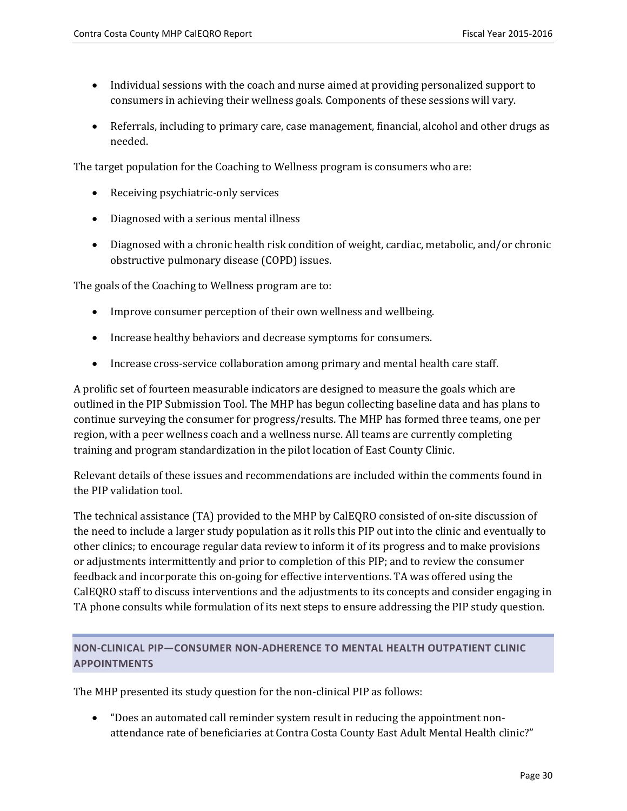- Individual sessions with the coach and nurse aimed at providing personalized support to consumers in achieving their wellness goals. Components of these sessions will vary.
- Referrals, including to primary care, case management, financial, alcohol and other drugs as needed.

The target population for the Coaching to Wellness program is consumers who are:

- Receiving psychiatric-only services
- Diagnosed with a serious mental illness
- Diagnosed with a chronic health risk condition of weight, cardiac, metabolic, and/or chronic obstructive pulmonary disease (COPD) issues.

The goals of the Coaching to Wellness program are to:

- Improve consumer perception of their own wellness and wellbeing.
- Increase healthy behaviors and decrease symptoms for consumers.
- Increase cross-service collaboration among primary and mental health care staff.

A prolific set of fourteen measurable indicators are designed to measure the goals which are outlined in the PIP Submission Tool. The MHP has begun collecting baseline data and has plans to continue surveying the consumer for progress/results. The MHP has formed three teams, one per region, with a peer wellness coach and a wellness nurse. All teams are currently completing training and program standardization in the pilot location of East County Clinic.

Relevant details of these issues and recommendations are included within the comments found in the PIP validation tool.

The technical assistance (TA) provided to the MHP by CalEQRO consisted of on-site discussion of the need to include a larger study population as it rolls this PIP out into the clinic and eventually to other clinics; to encourage regular data review to inform it of its progress and to make provisions or adjustments intermittently and prior to completion of this PIP; and to review the consumer feedback and incorporate this on-going for effective interventions. TA was offered using the CalEQRO staff to discuss interventions and the adjustments to its concepts and consider engaging in TA phone consults while formulation of its next steps to ensure addressing the PIP study question.

## <span id="page-29-0"></span>**NON-CLINICAL PIP—CONSUMER NON-ADHERENCE TO MENTAL HEALTH OUTPATIENT CLINIC APPOINTMENTS**

The MHP presented its study question for the non-clinical PIP as follows:

• "Does an automated call reminder system result in reducing the appointment nonattendance rate of beneficiaries at Contra Costa County East Adult Mental Health clinic?"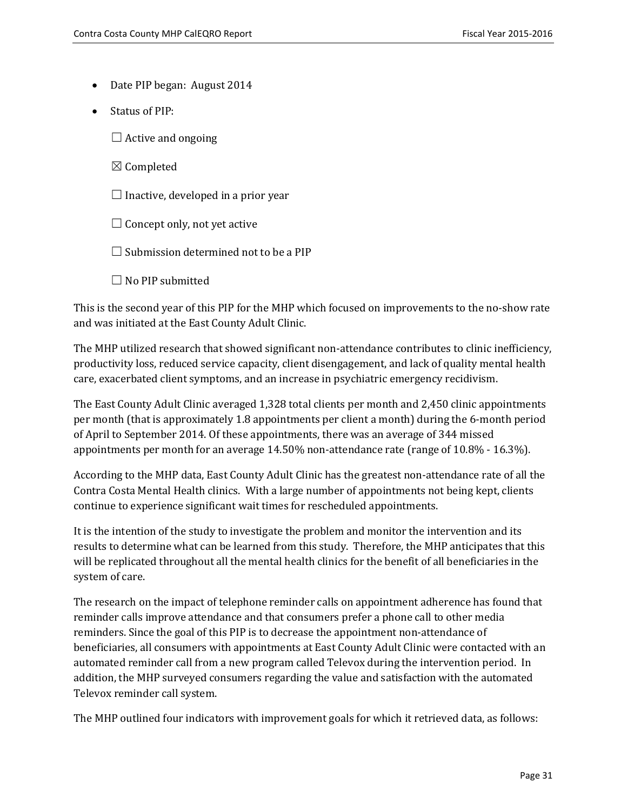- Date PIP began: August 2014
- Status of PIP:
	- $\Box$  Active and ongoing
	- ☒ Completed
	- $\Box$  Inactive, developed in a prior year
	- $\Box$  Concept only, not yet active
	- $\Box$  Submission determined not to be a PIP
	- $\Box$  No PIP submitted

This is the second year of this PIP for the MHP which focused on improvements to the no-show rate and was initiated at the East County Adult Clinic.

The MHP utilized research that showed significant non-attendance contributes to clinic inefficiency, productivity loss, reduced service capacity, client disengagement, and lack of quality mental health care, exacerbated client symptoms, and an increase in psychiatric emergency recidivism.

The East County Adult Clinic averaged 1,328 total clients per month and 2,450 clinic appointments per month (that is approximately 1.8 appointments per client a month) during the 6-month period of April to September 2014. Of these appointments, there was an average of 344 missed appointments per month for an average 14.50% non-attendance rate (range of 10.8% - 16.3%).

According to the MHP data, East County Adult Clinic has the greatest non-attendance rate of all the Contra Costa Mental Health clinics. With a large number of appointments not being kept, clients continue to experience significant wait times for rescheduled appointments.

It is the intention of the study to investigate the problem and monitor the intervention and its results to determine what can be learned from this study. Therefore, the MHP anticipates that this will be replicated throughout all the mental health clinics for the benefit of all beneficiaries in the system of care.

The research on the impact of telephone reminder calls on appointment adherence has found that reminder calls improve attendance and that consumers prefer a phone call to other media reminders. Since the goal of this PIP is to decrease the appointment non-attendance of beneficiaries, all consumers with appointments at East County Adult Clinic were contacted with an automated reminder call from a new program called Televox during the intervention period. In addition, the MHP surveyed consumers regarding the value and satisfaction with the automated Televox reminder call system.

The MHP outlined four indicators with improvement goals for which it retrieved data, as follows: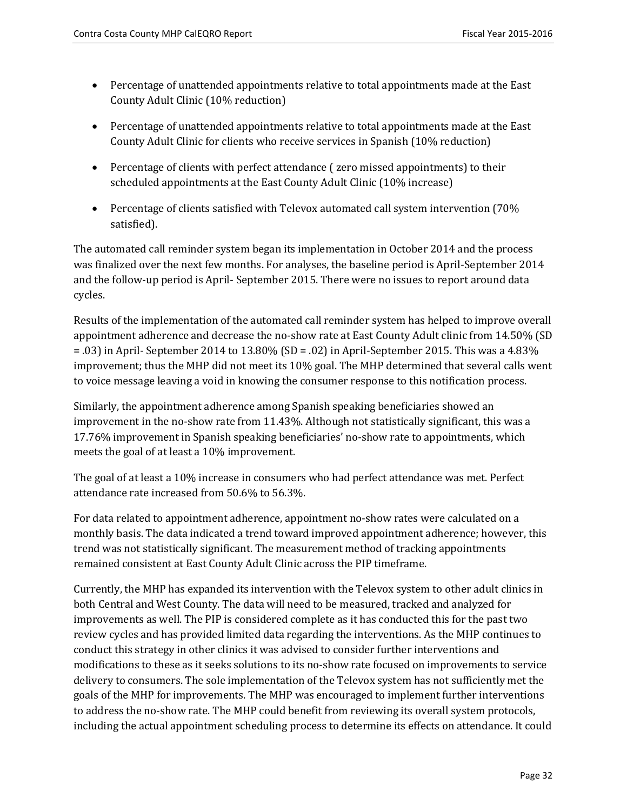- Percentage of unattended appointments relative to total appointments made at the East County Adult Clinic (10% reduction)
- Percentage of unattended appointments relative to total appointments made at the East County Adult Clinic for clients who receive services in Spanish (10% reduction)
- Percentage of clients with perfect attendance ( zero missed appointments) to their scheduled appointments at the East County Adult Clinic (10% increase)
- Percentage of clients satisfied with Televox automated call system intervention (70%) satisfied).

The automated call reminder system began its implementation in October 2014 and the process was finalized over the next few months. For analyses, the baseline period is April-September 2014 and the follow-up period is April- September 2015. There were no issues to report around data cycles.

Results of the implementation of the automated call reminder system has helped to improve overall appointment adherence and decrease the no-show rate at East County Adult clinic from 14.50% (SD  $=$  .03) in April- September 2014 to 13.80% (SD = .02) in April-September 2015. This was a 4.83% improvement; thus the MHP did not meet its 10% goal. The MHP determined that several calls went to voice message leaving a void in knowing the consumer response to this notification process.

Similarly, the appointment adherence among Spanish speaking beneficiaries showed an improvement in the no-show rate from 11.43%. Although not statistically significant, this was a 17.76% improvement in Spanish speaking beneficiaries' no-show rate to appointments, which meets the goal of at least a 10% improvement.

The goal of at least a 10% increase in consumers who had perfect attendance was met. Perfect attendance rate increased from 50.6% to 56.3%.

For data related to appointment adherence, appointment no-show rates were calculated on a monthly basis. The data indicated a trend toward improved appointment adherence; however, this trend was not statistically significant. The measurement method of tracking appointments remained consistent at East County Adult Clinic across the PIP timeframe.

Currently, the MHP has expanded its intervention with the Televox system to other adult clinics in both Central and West County. The data will need to be measured, tracked and analyzed for improvements as well. The PIP is considered complete as it has conducted this for the past two review cycles and has provided limited data regarding the interventions. As the MHP continues to conduct this strategy in other clinics it was advised to consider further interventions and modifications to these as it seeks solutions to its no-show rate focused on improvements to service delivery to consumers. The sole implementation of the Televox system has not sufficiently met the goals of the MHP for improvements. The MHP was encouraged to implement further interventions to address the no-show rate. The MHP could benefit from reviewing its overall system protocols, including the actual appointment scheduling process to determine its effects on attendance. It could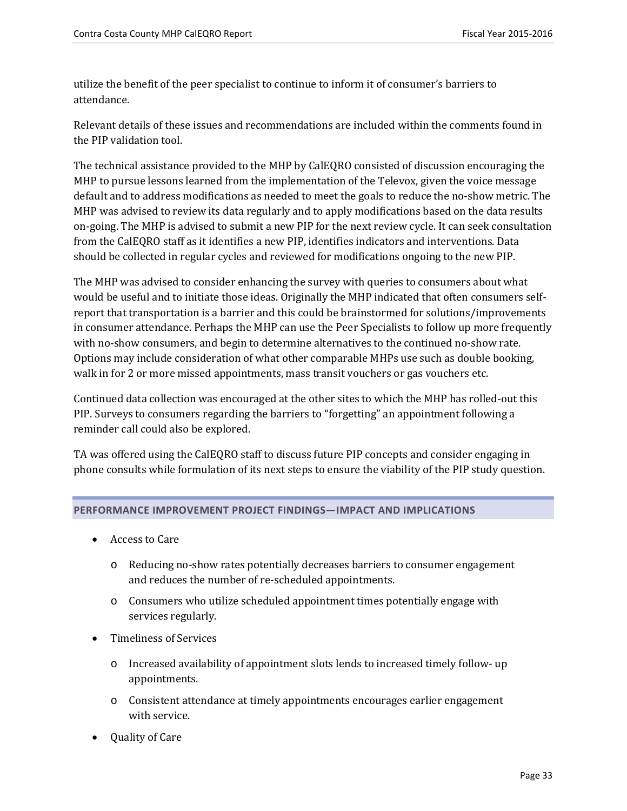utilize the benefit of the peer specialist to continue to inform it of consumer's barriers to attendance.

Relevant details of these issues and recommendations are included within the comments found in the PIP validation tool.

The technical assistance provided to the MHP by CalEQRO consisted of discussion encouraging the MHP to pursue lessons learned from the implementation of the Televox, given the voice message default and to address modifications as needed to meet the goals to reduce the no-show metric. The MHP was advised to review its data regularly and to apply modifications based on the data results on-going. The MHP is advised to submit a new PIP for the next review cycle. It can seek consultation from the CalEQRO staff as it identifies a new PIP, identifies indicators and interventions. Data should be collected in regular cycles and reviewed for modifications ongoing to the new PIP.

The MHP was advised to consider enhancing the survey with queries to consumers about what would be useful and to initiate those ideas. Originally the MHP indicated that often consumers selfreport that transportation is a barrier and this could be brainstormed for solutions/improvements in consumer attendance. Perhaps the MHP can use the Peer Specialists to follow up more frequently with no-show consumers, and begin to determine alternatives to the continued no-show rate. Options may include consideration of what other comparable MHPs use such as double booking, walk in for 2 or more missed appointments, mass transit vouchers or gas vouchers etc.

Continued data collection was encouraged at the other sites to which the MHP has rolled-out this PIP. Surveys to consumers regarding the barriers to "forgetting" an appointment following a reminder call could also be explored.

TA was offered using the CalEQRO staff to discuss future PIP concepts and consider engaging in phone consults while formulation of its next steps to ensure the viability of the PIP study question.

#### <span id="page-32-0"></span>**PERFORMANCE IMPROVEMENT PROJECT FINDINGS—IMPACT AND IMPLICATIONS**

- Access to Care
	- o Reducing no-show rates potentially decreases barriers to consumer engagement and reduces the number of re-scheduled appointments.
	- o Consumers who utilize scheduled appointment times potentially engage with services regularly.
- Timeliness of Services
	- o Increased availability of appointment slots lends to increased timely follow- up appointments.
	- o Consistent attendance at timely appointments encourages earlier engagement with service.
- Quality of Care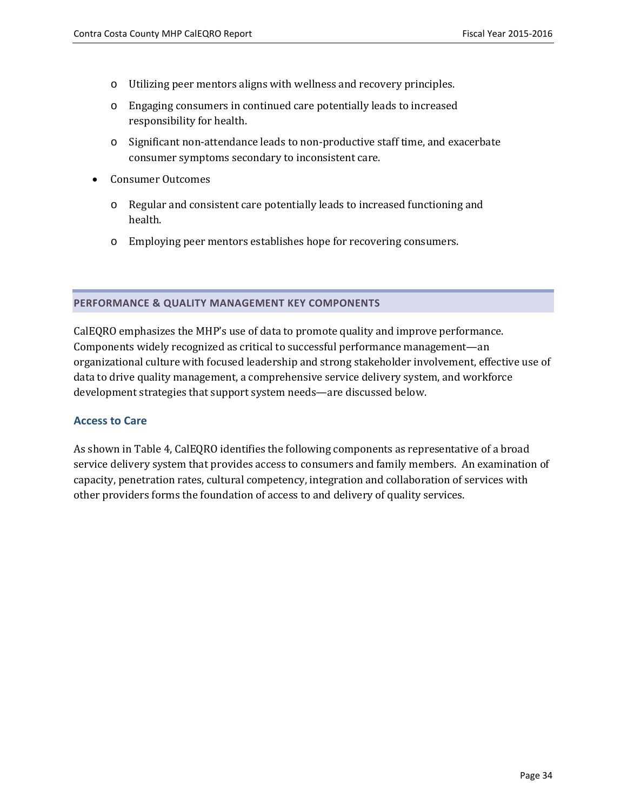- o Utilizing peer mentors aligns with wellness and recovery principles.
- o Engaging consumers in continued care potentially leads to increased responsibility for health.
- o Significant non-attendance leads to non-productive staff time, and exacerbate consumer symptoms secondary to inconsistent care.
- Consumer Outcomes
	- o Regular and consistent care potentially leads to increased functioning and health.
	- o Employing peer mentors establishes hope for recovering consumers.

#### <span id="page-33-0"></span>**PERFORMANCE & QUALITY MANAGEMENT KEY COMPONENTS**

CalEQRO emphasizes the MHP's use of data to promote quality and improve performance. Components widely recognized as critical to successful performance management—an organizational culture with focused leadership and strong stakeholder involvement, effective use of data to drive quality management, a comprehensive service delivery system, and workforce development strategies that support system needs—are discussed below.

#### <span id="page-33-1"></span>**Access to Care**

As shown in Table 4, CalEQRO identifies the following components as representative of a broad service delivery system that provides access to consumers and family members. An examination of capacity, penetration rates, cultural competency, integration and collaboration of services with other providers forms the foundation of access to and delivery of quality services.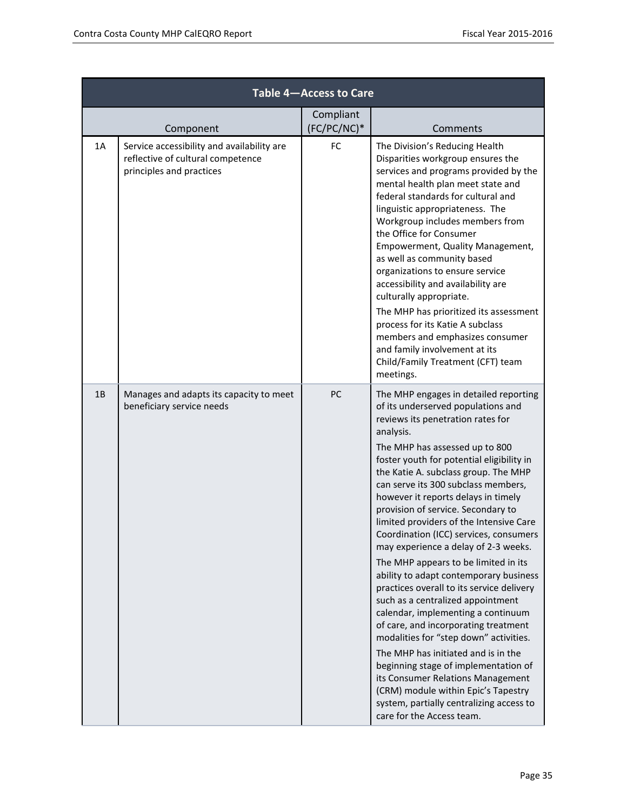|    | Table 4-Access to Care                                                                                      |                          |                                                                                                                                                                                                                                                                                                                                                                                                                                                                                                                                                                                                                                                                                                                                                                                                                                                                                                                                                                                                                                       |  |  |
|----|-------------------------------------------------------------------------------------------------------------|--------------------------|---------------------------------------------------------------------------------------------------------------------------------------------------------------------------------------------------------------------------------------------------------------------------------------------------------------------------------------------------------------------------------------------------------------------------------------------------------------------------------------------------------------------------------------------------------------------------------------------------------------------------------------------------------------------------------------------------------------------------------------------------------------------------------------------------------------------------------------------------------------------------------------------------------------------------------------------------------------------------------------------------------------------------------------|--|--|
|    | Component                                                                                                   | Compliant<br>(FC/PC/NC)* | Comments                                                                                                                                                                                                                                                                                                                                                                                                                                                                                                                                                                                                                                                                                                                                                                                                                                                                                                                                                                                                                              |  |  |
| 1A | Service accessibility and availability are<br>reflective of cultural competence<br>principles and practices | FC                       | The Division's Reducing Health<br>Disparities workgroup ensures the<br>services and programs provided by the<br>mental health plan meet state and<br>federal standards for cultural and<br>linguistic appropriateness. The<br>Workgroup includes members from<br>the Office for Consumer<br>Empowerment, Quality Management,<br>as well as community based<br>organizations to ensure service<br>accessibility and availability are<br>culturally appropriate.<br>The MHP has prioritized its assessment<br>process for its Katie A subclass<br>members and emphasizes consumer<br>and family involvement at its<br>Child/Family Treatment (CFT) team<br>meetings.                                                                                                                                                                                                                                                                                                                                                                    |  |  |
| 1B | Manages and adapts its capacity to meet<br>beneficiary service needs                                        | PC                       | The MHP engages in detailed reporting<br>of its underserved populations and<br>reviews its penetration rates for<br>analysis.<br>The MHP has assessed up to 800<br>foster youth for potential eligibility in<br>the Katie A. subclass group. The MHP<br>can serve its 300 subclass members,<br>however it reports delays in timely<br>provision of service. Secondary to<br>limited providers of the Intensive Care<br>Coordination (ICC) services, consumers<br>may experience a delay of 2-3 weeks.<br>The MHP appears to be limited in its<br>ability to adapt contemporary business<br>practices overall to its service delivery<br>such as a centralized appointment<br>calendar, implementing a continuum<br>of care, and incorporating treatment<br>modalities for "step down" activities.<br>The MHP has initiated and is in the<br>beginning stage of implementation of<br>its Consumer Relations Management<br>(CRM) module within Epic's Tapestry<br>system, partially centralizing access to<br>care for the Access team. |  |  |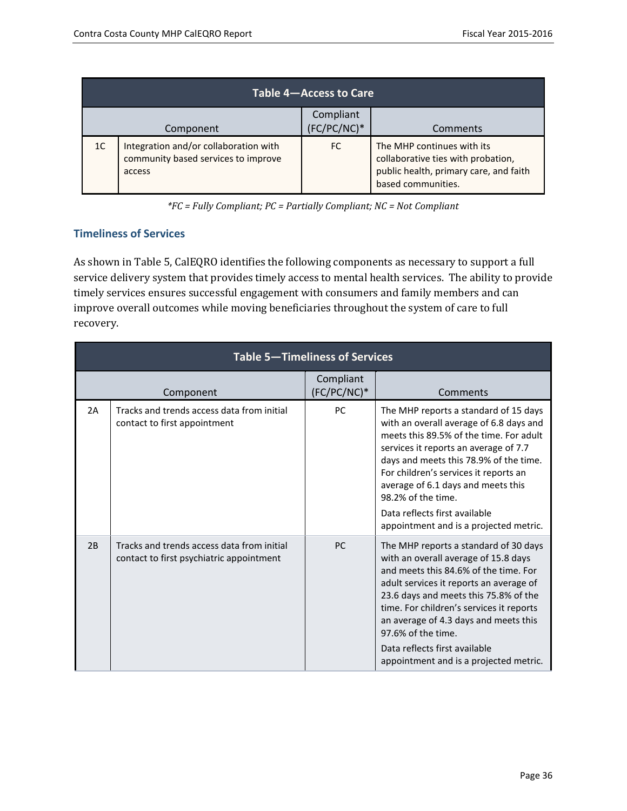| Table 4-Access to Care                                                                       |           |                          |                                                                                                                                  |  |
|----------------------------------------------------------------------------------------------|-----------|--------------------------|----------------------------------------------------------------------------------------------------------------------------------|--|
|                                                                                              | Component | Compliant<br>(FC/PC/NC)* | Comments                                                                                                                         |  |
| Integration and/or collaboration with<br>1C<br>community based services to improve<br>access |           | FC.                      | The MHP continues with its<br>collaborative ties with probation,<br>public health, primary care, and faith<br>based communities. |  |

*\*FC = Fully Compliant; PC = Partially Compliant; NC = Not Compliant*

#### <span id="page-35-0"></span>**Timeliness of Services**

As shown in Table 5, CalEQRO identifies the following components as necessary to support a full service delivery system that provides timely access to mental health services. The ability to provide timely services ensures successful engagement with consumers and family members and can improve overall outcomes while moving beneficiaries throughout the system of care to full recovery.

|    | <b>Table 5-Timeliness of Services</b>                                                  |                          |                                                                                                                                                                                                                                                                                                                                                                                                  |  |  |
|----|----------------------------------------------------------------------------------------|--------------------------|--------------------------------------------------------------------------------------------------------------------------------------------------------------------------------------------------------------------------------------------------------------------------------------------------------------------------------------------------------------------------------------------------|--|--|
|    | Component                                                                              | Compliant<br>(FC/PC/NC)* | Comments                                                                                                                                                                                                                                                                                                                                                                                         |  |  |
| 2A | Tracks and trends access data from initial<br>contact to first appointment             | <b>PC</b>                | The MHP reports a standard of 15 days<br>with an overall average of 6.8 days and<br>meets this 89.5% of the time. For adult<br>services it reports an average of 7.7<br>days and meets this 78.9% of the time.<br>For children's services it reports an<br>average of 6.1 days and meets this<br>98.2% of the time.<br>Data reflects first available<br>appointment and is a projected metric.   |  |  |
| 2B | Tracks and trends access data from initial<br>contact to first psychiatric appointment | <b>PC</b>                | The MHP reports a standard of 30 days<br>with an overall average of 15.8 days<br>and meets this 84.6% of the time. For<br>adult services it reports an average of<br>23.6 days and meets this 75.8% of the<br>time. For children's services it reports<br>an average of 4.3 days and meets this<br>97.6% of the time.<br>Data reflects first available<br>appointment and is a projected metric. |  |  |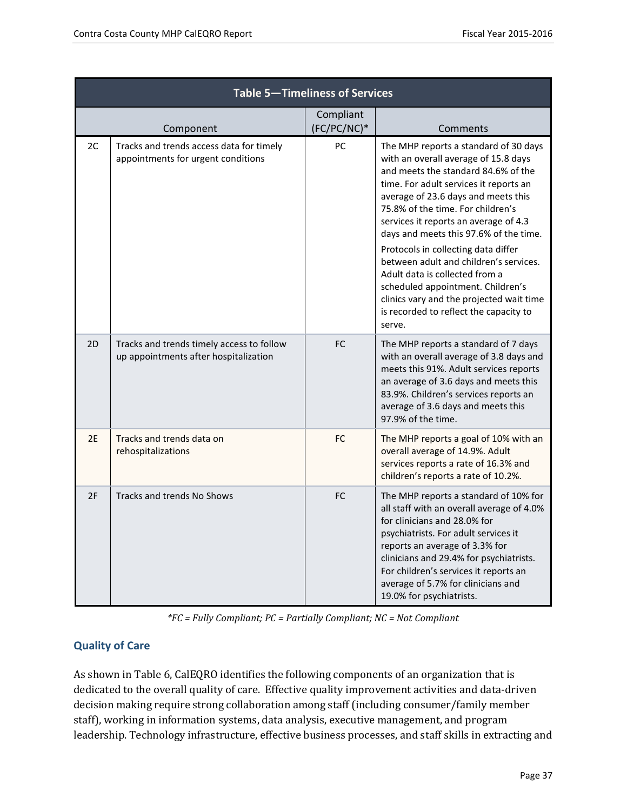| Table 5-Timeliness of Services |                                                                                    |                          |                                                                                                                                                                                                                                                                                                                                                                                                                                                                                                                                                                                       |  |  |  |
|--------------------------------|------------------------------------------------------------------------------------|--------------------------|---------------------------------------------------------------------------------------------------------------------------------------------------------------------------------------------------------------------------------------------------------------------------------------------------------------------------------------------------------------------------------------------------------------------------------------------------------------------------------------------------------------------------------------------------------------------------------------|--|--|--|
|                                | Component                                                                          | Compliant<br>(FC/PC/NC)* | Comments                                                                                                                                                                                                                                                                                                                                                                                                                                                                                                                                                                              |  |  |  |
| 2C                             | Tracks and trends access data for timely<br>appointments for urgent conditions     | PC                       | The MHP reports a standard of 30 days<br>with an overall average of 15.8 days<br>and meets the standard 84.6% of the<br>time. For adult services it reports an<br>average of 23.6 days and meets this<br>75.8% of the time. For children's<br>services it reports an average of 4.3<br>days and meets this 97.6% of the time.<br>Protocols in collecting data differ<br>between adult and children's services.<br>Adult data is collected from a<br>scheduled appointment. Children's<br>clinics vary and the projected wait time<br>is recorded to reflect the capacity to<br>serve. |  |  |  |
| 2D                             | Tracks and trends timely access to follow<br>up appointments after hospitalization | FC                       | The MHP reports a standard of 7 days<br>with an overall average of 3.8 days and<br>meets this 91%. Adult services reports<br>an average of 3.6 days and meets this<br>83.9%. Children's services reports an<br>average of 3.6 days and meets this<br>97.9% of the time.                                                                                                                                                                                                                                                                                                               |  |  |  |
| 2E                             | Tracks and trends data on<br>rehospitalizations                                    | FC                       | The MHP reports a goal of 10% with an<br>overall average of 14.9%. Adult<br>services reports a rate of 16.3% and<br>children's reports a rate of 10.2%.                                                                                                                                                                                                                                                                                                                                                                                                                               |  |  |  |
| 2F                             | Tracks and trends No Shows                                                         | FC                       | The MHP reports a standard of 10% for<br>all staff with an overall average of 4.0%<br>for clinicians and 28.0% for<br>psychiatrists. For adult services it<br>reports an average of 3.3% for<br>clinicians and 29.4% for psychiatrists.<br>For children's services it reports an<br>average of 5.7% for clinicians and<br>19.0% for psychiatrists.                                                                                                                                                                                                                                    |  |  |  |

*\*FC = Fully Compliant; PC = Partially Compliant; NC = Not Compliant*

### **Quality of Care**

As shown in Table 6, CalEQRO identifies the following components of an organization that is dedicated to the overall quality of care. Effective quality improvement activities and data-driven decision making require strong collaboration among staff (including consumer/family member staff), working in information systems, data analysis, executive management, and program leadership. Technology infrastructure, effective business processes, and staff skills in extracting and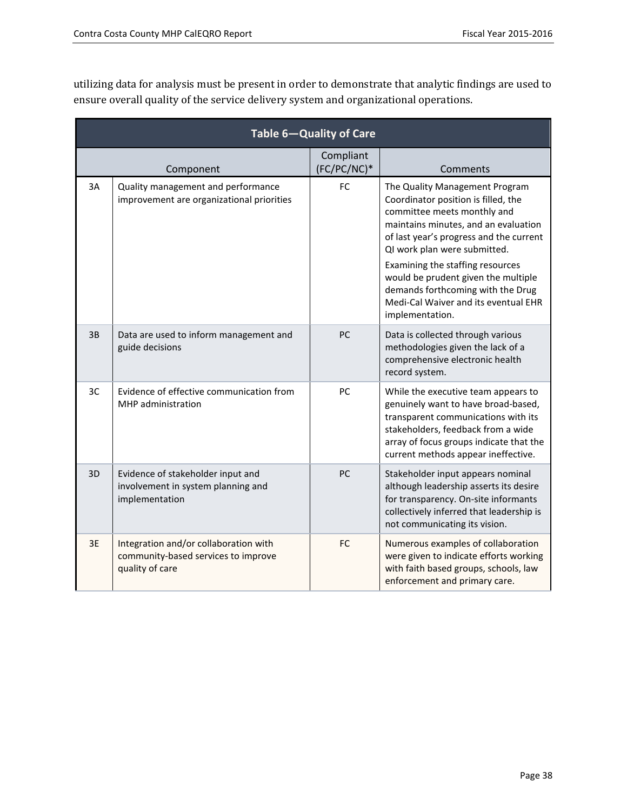utilizing data for analysis must be present in order to demonstrate that analytic findings are used to ensure overall quality of the service delivery system and organizational operations.

| Table 6-Quality of Care |                                                                                                 |                          |                                                                                                                                                                                                                                                                                                                                                                                                    |  |  |
|-------------------------|-------------------------------------------------------------------------------------------------|--------------------------|----------------------------------------------------------------------------------------------------------------------------------------------------------------------------------------------------------------------------------------------------------------------------------------------------------------------------------------------------------------------------------------------------|--|--|
|                         | Component                                                                                       | Compliant<br>(FC/PC/NC)* | Comments                                                                                                                                                                                                                                                                                                                                                                                           |  |  |
| 3A                      | Quality management and performance<br>improvement are organizational priorities                 | FC                       | The Quality Management Program<br>Coordinator position is filled, the<br>committee meets monthly and<br>maintains minutes, and an evaluation<br>of last year's progress and the current<br>QI work plan were submitted.<br>Examining the staffing resources<br>would be prudent given the multiple<br>demands forthcoming with the Drug<br>Medi-Cal Waiver and its eventual EHR<br>implementation. |  |  |
| 3B                      | Data are used to inform management and<br>guide decisions                                       | PC                       | Data is collected through various<br>methodologies given the lack of a<br>comprehensive electronic health<br>record system.                                                                                                                                                                                                                                                                        |  |  |
| 3C                      | Evidence of effective communication from<br>MHP administration                                  | PC                       | While the executive team appears to<br>genuinely want to have broad-based,<br>transparent communications with its<br>stakeholders, feedback from a wide<br>array of focus groups indicate that the<br>current methods appear ineffective.                                                                                                                                                          |  |  |
| 3D                      | Evidence of stakeholder input and<br>involvement in system planning and<br>implementation       | PC                       | Stakeholder input appears nominal<br>although leadership asserts its desire<br>for transparency. On-site informants<br>collectively inferred that leadership is<br>not communicating its vision.                                                                                                                                                                                                   |  |  |
| 3E                      | Integration and/or collaboration with<br>community-based services to improve<br>quality of care | FC                       | Numerous examples of collaboration<br>were given to indicate efforts working<br>with faith based groups, schools, law<br>enforcement and primary care.                                                                                                                                                                                                                                             |  |  |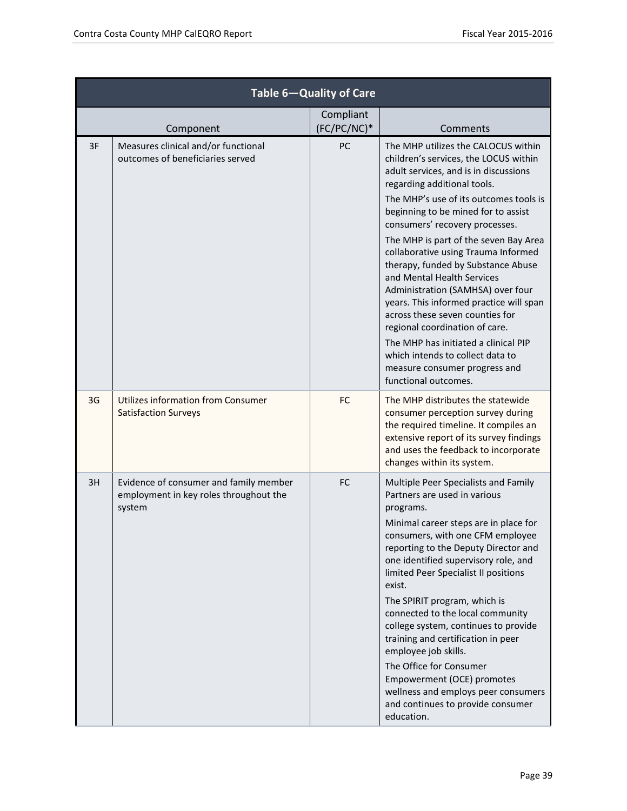| Table 6-Quality of Care |                                                                                            |                          |                                                                                                                                                                                                                                                                                                                                                                                                                                                                                                                                                                                                                                                                                                                       |  |  |
|-------------------------|--------------------------------------------------------------------------------------------|--------------------------|-----------------------------------------------------------------------------------------------------------------------------------------------------------------------------------------------------------------------------------------------------------------------------------------------------------------------------------------------------------------------------------------------------------------------------------------------------------------------------------------------------------------------------------------------------------------------------------------------------------------------------------------------------------------------------------------------------------------------|--|--|
|                         | Component                                                                                  | Compliant<br>(FC/PC/NC)* | Comments                                                                                                                                                                                                                                                                                                                                                                                                                                                                                                                                                                                                                                                                                                              |  |  |
| 3F                      | Measures clinical and/or functional<br>outcomes of beneficiaries served                    | PC                       | The MHP utilizes the CALOCUS within<br>children's services, the LOCUS within<br>adult services, and is in discussions<br>regarding additional tools.<br>The MHP's use of its outcomes tools is<br>beginning to be mined for to assist<br>consumers' recovery processes.<br>The MHP is part of the seven Bay Area<br>collaborative using Trauma Informed<br>therapy, funded by Substance Abuse<br>and Mental Health Services<br>Administration (SAMHSA) over four<br>years. This informed practice will span<br>across these seven counties for<br>regional coordination of care.<br>The MHP has initiated a clinical PIP<br>which intends to collect data to<br>measure consumer progress and<br>functional outcomes. |  |  |
| 3G                      | Utilizes information from Consumer<br><b>Satisfaction Surveys</b>                          | <b>FC</b>                | The MHP distributes the statewide<br>consumer perception survey during<br>the required timeline. It compiles an<br>extensive report of its survey findings<br>and uses the feedback to incorporate<br>changes within its system.                                                                                                                                                                                                                                                                                                                                                                                                                                                                                      |  |  |
| 3H                      | Evidence of consumer and family member<br>employment in key roles throughout the<br>system | <b>FC</b>                | Multiple Peer Specialists and Family<br>Partners are used in various<br>programs.<br>Minimal career steps are in place for<br>consumers, with one CFM employee<br>reporting to the Deputy Director and<br>one identified supervisory role, and<br>limited Peer Specialist II positions<br>exist.<br>The SPIRIT program, which is<br>connected to the local community<br>college system, continues to provide<br>training and certification in peer<br>employee job skills.<br>The Office for Consumer<br>Empowerment (OCE) promotes<br>wellness and employs peer consumers<br>and continues to provide consumer<br>education.                                                                                         |  |  |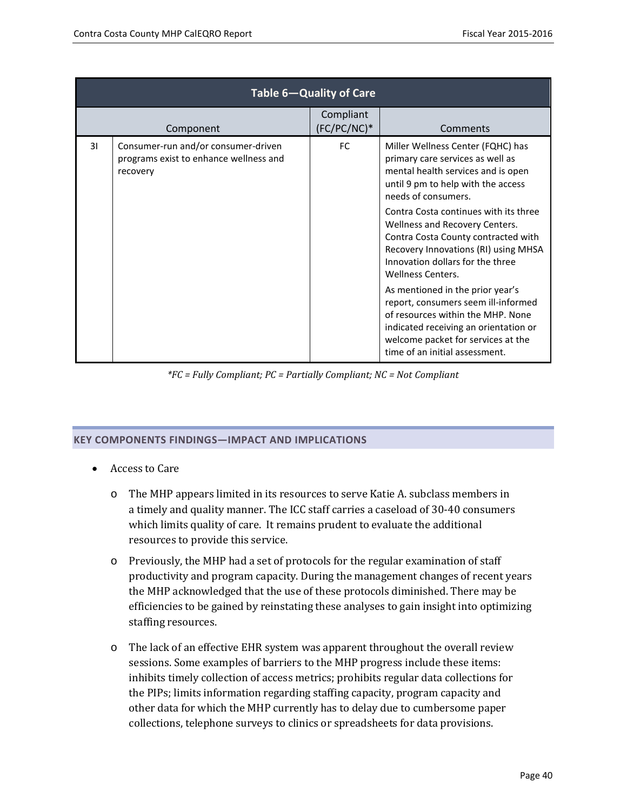| Table 6-Quality of Care |                                                                                           |                                   |                                                                                                                                                                                                                               |  |  |  |
|-------------------------|-------------------------------------------------------------------------------------------|-----------------------------------|-------------------------------------------------------------------------------------------------------------------------------------------------------------------------------------------------------------------------------|--|--|--|
|                         | Component                                                                                 | <b>Compliant</b><br>$(FC/PC/NC)*$ | Comments                                                                                                                                                                                                                      |  |  |  |
| 31                      | Consumer-run and/or consumer-driven<br>programs exist to enhance wellness and<br>recovery | FC.                               | Miller Wellness Center (FQHC) has<br>primary care services as well as<br>mental health services and is open<br>until 9 pm to help with the access<br>needs of consumers.                                                      |  |  |  |
|                         |                                                                                           |                                   | Contra Costa continues with its three<br>Wellness and Recovery Centers.<br>Contra Costa County contracted with<br>Recovery Innovations (RI) using MHSA<br>Innovation dollars for the three<br>Wellness Centers.               |  |  |  |
|                         |                                                                                           |                                   | As mentioned in the prior year's<br>report, consumers seem ill-informed<br>of resources within the MHP. None<br>indicated receiving an orientation or<br>welcome packet for services at the<br>time of an initial assessment. |  |  |  |

*\*FC = Fully Compliant; PC = Partially Compliant; NC = Not Compliant*

#### **KEY COMPONENTS FINDINGS—IMPACT AND IMPLICATIONS**

- Access to Care
	- o The MHP appears limited in its resources to serve Katie A. subclass members in a timely and quality manner. The ICC staff carries a caseload of 30-40 consumers which limits quality of care. It remains prudent to evaluate the additional resources to provide this service.
	- o Previously, the MHP had a set of protocols for the regular examination of staff productivity and program capacity. During the management changes of recent years the MHP acknowledged that the use of these protocols diminished. There may be efficiencies to be gained by reinstating these analyses to gain insight into optimizing staffing resources.
	- o The lack of an effective EHR system was apparent throughout the overall review sessions. Some examples of barriers to the MHP progress include these items: inhibits timely collection of access metrics; prohibits regular data collections for the PIPs; limits information regarding staffing capacity, program capacity and other data for which the MHP currently has to delay due to cumbersome paper collections, telephone surveys to clinics or spreadsheets for data provisions.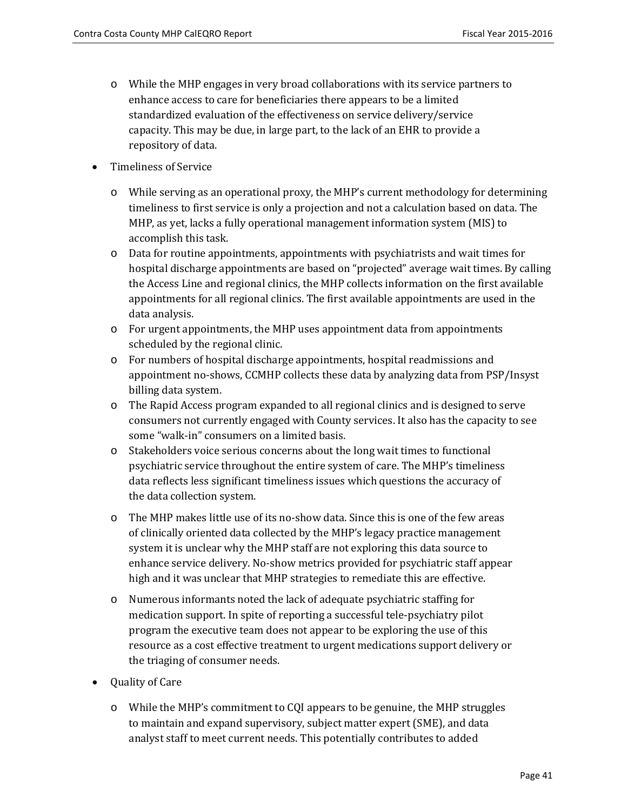- o While the MHP engages in very broad collaborations with its service partners to enhance access to care for beneficiaries there appears to be a limited standardized evaluation of the effectiveness on service delivery/service capacity. This may be due, in large part, to the lack of an EHR to provide a repository of data.
- Timeliness of Service
	- o While serving as an operational proxy, the MHP's current methodology for determining timeliness to first service is only a projection and not a calculation based on data. The MHP, as yet, lacks a fully operational management information system (MIS) to accomplish this task.
	- o Data for routine appointments, appointments with psychiatrists and wait times for hospital discharge appointments are based on "projected" average wait times. By calling the Access Line and regional clinics, the MHP collects information on the first available appointments for all regional clinics. The first available appointments are used in the data analysis.
	- o For urgent appointments, the MHP uses appointment data from appointments scheduled by the regional clinic.
	- o For numbers of hospital discharge appointments, hospital readmissions and appointment no-shows, CCMHP collects these data by analyzing data from PSP/Insyst billing data system.
	- o The Rapid Access program expanded to all regional clinics and is designed to serve consumers not currently engaged with County services. It also has the capacity to see some "walk-in" consumers on a limited basis.
	- o Stakeholders voice serious concerns about the long wait times to functional psychiatric service throughout the entire system of care. The MHP's timeliness data reflects less significant timeliness issues which questions the accuracy of the data collection system.
	- o The MHP makes little use of its no-show data. Since this is one of the few areas of clinically oriented data collected by the MHP's legacy practice management system it is unclear why the MHP staff are not exploring this data source to enhance service delivery. No-show metrics provided for psychiatric staff appear high and it was unclear that MHP strategies to remediate this are effective.
	- o Numerous informants noted the lack of adequate psychiatric staffing for medication support. In spite of reporting a successful tele-psychiatry pilot program the executive team does not appear to be exploring the use of this resource as a cost effective treatment to urgent medications support delivery or the triaging of consumer needs.
- Quality of Care
	- o While the MHP's commitment to CQI appears to be genuine, the MHP struggles to maintain and expand supervisory, subject matter expert (SME), and data analyst staff to meet current needs. This potentially contributes to added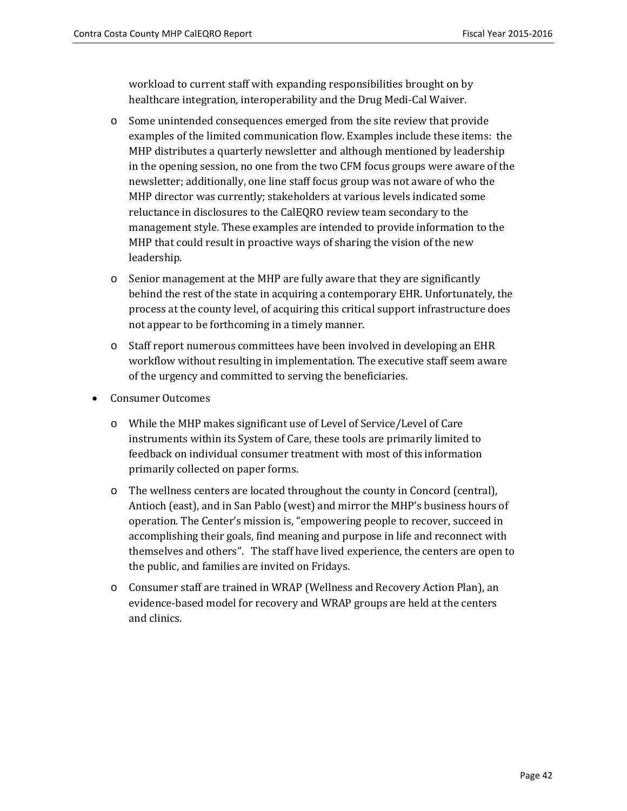workload to current staff with expanding responsibilities brought on by healthcare integration, interoperability and the Drug Medi-Cal Waiver.

- o Some unintended consequences emerged from the site review that provide examples of the limited communication flow. Examples include these items: the MHP distributes a quarterly newsletter and although mentioned by leadership in the opening session, no one from the two CFM focus groups were aware of the newsletter; additionally, one line staff focus group was not aware of who the MHP director was currently; stakeholders at various levels indicated some reluctance in disclosures to the CalEQRO review team secondary to the management style. These examples are intended to provide information to the MHP that could result in proactive ways of sharing the vision of the new leadership.
- o Senior management at the MHP are fully aware that they are significantly behind the rest of the state in acquiring a contemporary EHR. Unfortunately, the process at the county level, of acquiring this critical support infrastructure does not appear to be forthcoming in a timely manner.
- o Staff report numerous committees have been involved in developing an EHR workflow without resulting in implementation. The executive staff seem aware of the urgency and committed to serving the beneficiaries.
- Consumer Outcomes
	- o While the MHP makes significant use of Level of Service/Level of Care instruments within its System of Care, these tools are primarily limited to feedback on individual consumer treatment with most of this information primarily collected on paper forms.
	- o The wellness centers are located throughout the county in Concord (central), Antioch (east), and in San Pablo (west) and mirror the MHP's business hours of operation. The Center's mission is, "empowering people to recover, succeed in accomplishing their goals, find meaning and purpose in life and reconnect with themselves and others". The staff have lived experience, the centers are open to the public, and families are invited on Fridays.
	- o Consumer staff are trained in WRAP (Wellness and Recovery Action Plan), an evidence-based model for recovery and WRAP groups are held at the centers and clinics.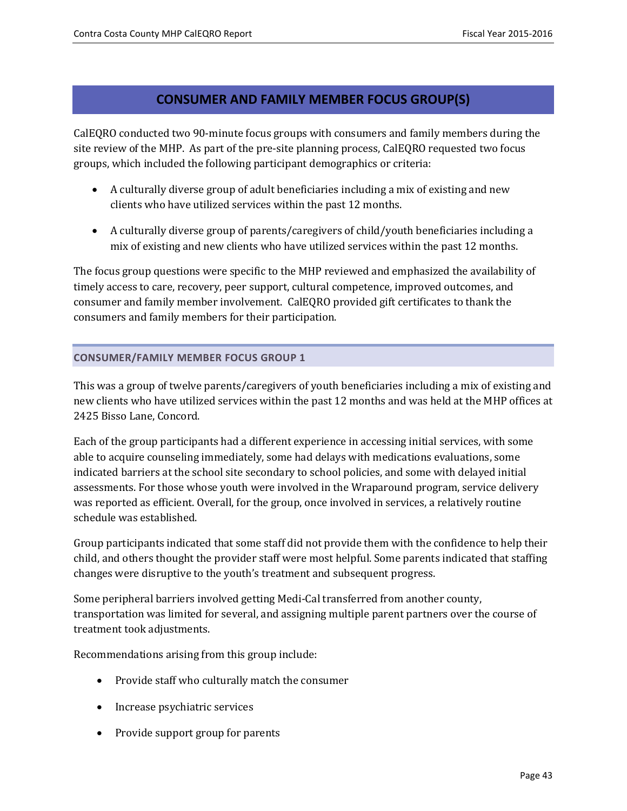### **CONSUMER AND FAMILY MEMBER FOCUS GROUP(S)**

CalEQRO conducted two 90-minute focus groups with consumers and family members during the site review of the MHP. As part of the pre-site planning process, CalEQRO requested two focus groups, which included the following participant demographics or criteria:

- A culturally diverse group of adult beneficiaries including a mix of existing and new clients who have utilized services within the past 12 months.
- A culturally diverse group of parents/caregivers of child/youth beneficiaries including a mix of existing and new clients who have utilized services within the past 12 months.

The focus group questions were specific to the MHP reviewed and emphasized the availability of timely access to care, recovery, peer support, cultural competence, improved outcomes, and consumer and family member involvement. CalEQRO provided gift certificates to thank the consumers and family members for their participation.

### **CONSUMER/FAMILY MEMBER FOCUS GROUP 1**

This was a group of twelve parents/caregivers of youth beneficiaries including a mix of existing and new clients who have utilized services within the past 12 months and was held at the MHP offices at 2425 Bisso Lane, Concord.

Each of the group participants had a different experience in accessing initial services, with some able to acquire counseling immediately, some had delays with medications evaluations, some indicated barriers at the school site secondary to school policies, and some with delayed initial assessments. For those whose youth were involved in the Wraparound program, service delivery was reported as efficient. Overall, for the group, once involved in services, a relatively routine schedule was established.

Group participants indicated that some staff did not provide them with the confidence to help their child, and others thought the provider staff were most helpful. Some parents indicated that staffing changes were disruptive to the youth's treatment and subsequent progress.

Some peripheral barriers involved getting Medi-Cal transferred from another county, transportation was limited for several, and assigning multiple parent partners over the course of treatment took adjustments.

Recommendations arising from this group include:

- Provide staff who culturally match the consumer
- Increase psychiatric services
- Provide support group for parents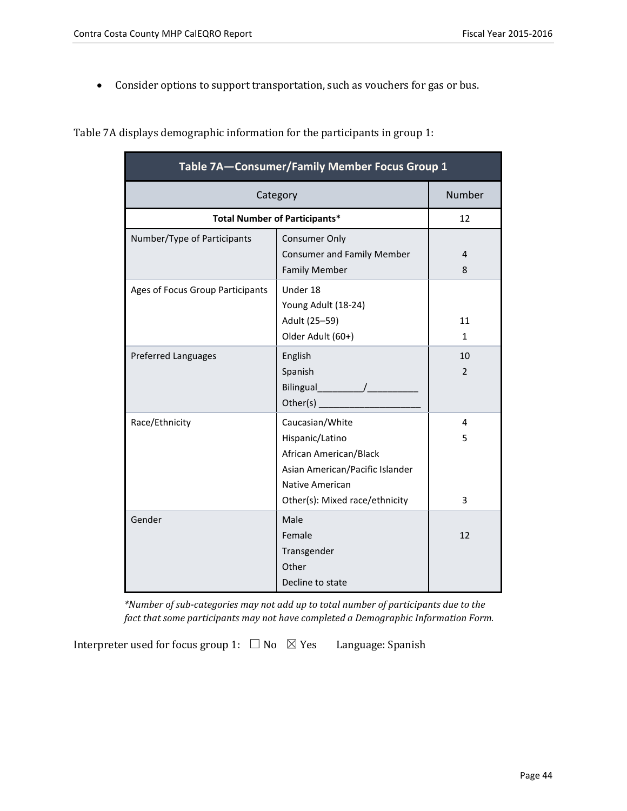• Consider options to support transportation, such as vouchers for gas or bus.

Table 7A displays demographic information for the participants in group 1:

| Table 7A-Consumer/Family Member Focus Group 1 |                                      |        |  |  |
|-----------------------------------------------|--------------------------------------|--------|--|--|
|                                               | Category                             | Number |  |  |
|                                               | <b>Total Number of Participants*</b> | 12     |  |  |
| Number/Type of Participants                   | <b>Consumer Only</b>                 |        |  |  |
|                                               | <b>Consumer and Family Member</b>    | 4      |  |  |
|                                               | <b>Family Member</b>                 | 8      |  |  |
| Ages of Focus Group Participants              | Under 18                             |        |  |  |
|                                               | Young Adult (18-24)                  |        |  |  |
|                                               | Adult (25-59)                        | 11     |  |  |
|                                               | Older Adult (60+)                    | 1      |  |  |
| <b>Preferred Languages</b>                    | English                              | 10     |  |  |
|                                               | Spanish                              | 2      |  |  |
|                                               | Bilingual /                          |        |  |  |
|                                               | Other(s) $\overline{\phantom{a}}$    |        |  |  |
| Race/Ethnicity                                | Caucasian/White                      | 4      |  |  |
|                                               | Hispanic/Latino                      | 5      |  |  |
|                                               | African American/Black               |        |  |  |
|                                               | Asian American/Pacific Islander      |        |  |  |
|                                               | Native American                      |        |  |  |
|                                               | Other(s): Mixed race/ethnicity       | 3      |  |  |
| Gender                                        | Male                                 |        |  |  |
|                                               | Female                               | 12     |  |  |
|                                               | Transgender                          |        |  |  |
|                                               | Other                                |        |  |  |
|                                               | Decline to state                     |        |  |  |

*\*Number of sub-categories may not add up to total number of participants due to the fact that some participants may not have completed a Demographic Information Form.* 

Interpreter used for focus group 1:  $\Box$  No  $\boxtimes$  Yes Language: Spanish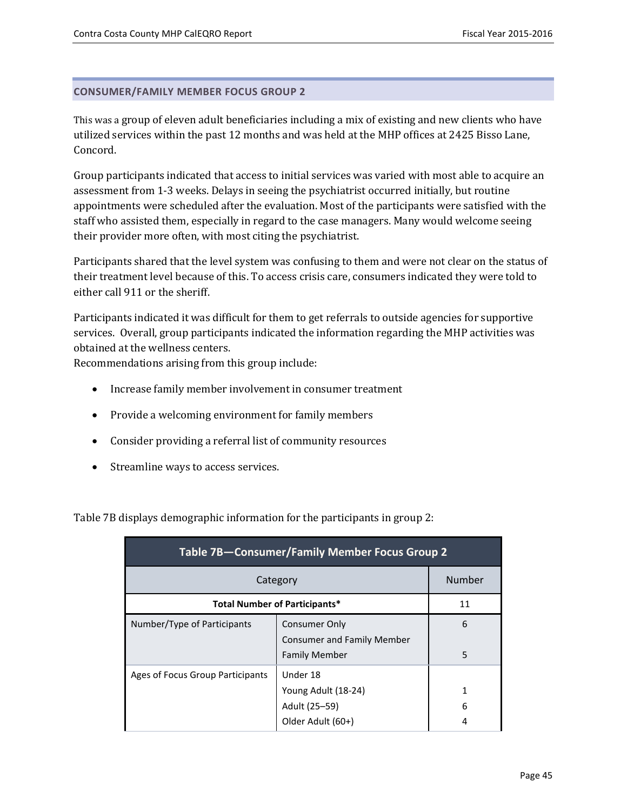### **CONSUMER/FAMILY MEMBER FOCUS GROUP 2**

This was a group of eleven adult beneficiaries including a mix of existing and new clients who have utilized services within the past 12 months and was held at the MHP offices at 2425 Bisso Lane, Concord.

Group participants indicated that access to initial services was varied with most able to acquire an assessment from 1-3 weeks. Delays in seeing the psychiatrist occurred initially, but routine appointments were scheduled after the evaluation. Most of the participants were satisfied with the staff who assisted them, especially in regard to the case managers. Many would welcome seeing their provider more often, with most citing the psychiatrist.

Participants shared that the level system was confusing to them and were not clear on the status of their treatment level because of this. To access crisis care, consumers indicated they were told to either call 911 or the sheriff.

Participants indicated it was difficult for them to get referrals to outside agencies for supportive services. Overall, group participants indicated the information regarding the MHP activities was obtained at the wellness centers.

Recommendations arising from this group include:

- Increase family member involvement in consumer treatment
- Provide a welcoming environment for family members
- Consider providing a referral list of community resources
- Streamline ways to access services.

Table 7B displays demographic information for the participants in group 2:

| Table 7B-Consumer/Family Member Focus Group 2 |                                                                            |        |  |  |  |
|-----------------------------------------------|----------------------------------------------------------------------------|--------|--|--|--|
| Category                                      | Number                                                                     |        |  |  |  |
| <b>Total Number of Participants*</b><br>11    |                                                                            |        |  |  |  |
| Number/Type of Participants                   | Consumer Only<br><b>Consumer and Family Member</b><br><b>Family Member</b> | 6<br>5 |  |  |  |
| Ages of Focus Group Participants              | Under 18<br>Young Adult (18-24)<br>Adult (25–59)<br>Older Adult (60+)      | 1<br>6 |  |  |  |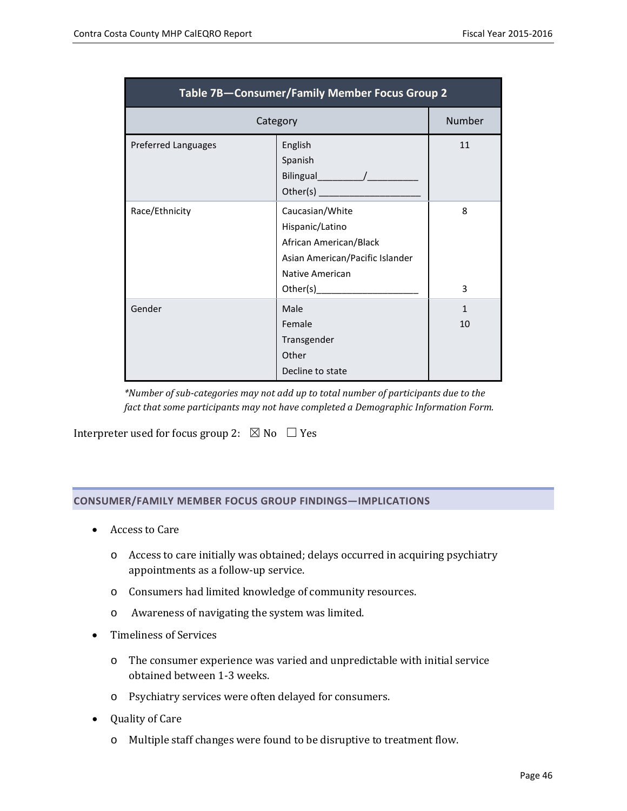| Table 7B-Consumer/Family Member Focus Group 2 |                                                                                                                                |                    |  |  |  |
|-----------------------------------------------|--------------------------------------------------------------------------------------------------------------------------------|--------------------|--|--|--|
|                                               | Category                                                                                                                       | Number             |  |  |  |
| <b>Preferred Languages</b>                    | English<br>Spanish                                                                                                             | 11                 |  |  |  |
| Race/Ethnicity                                | Caucasian/White<br>Hispanic/Latino<br>African American/Black<br>Asian American/Pacific Islander<br>Native American<br>Other(s) | 8<br>3             |  |  |  |
| Gender                                        | Male<br>Female<br>Transgender<br>Other<br>Decline to state                                                                     | $\mathbf{1}$<br>10 |  |  |  |

*\*Number of sub-categories may not add up to total number of participants due to the fact that some participants may not have completed a Demographic Information Form.* 

Interpreter used for focus group 2:  $\boxtimes$  No  $\Box$  Yes

#### **CONSUMER/FAMILY MEMBER FOCUS GROUP FINDINGS—IMPLICATIONS**

- Access to Care
	- o Access to care initially was obtained; delays occurred in acquiring psychiatry appointments as a follow-up service.
	- o Consumers had limited knowledge of community resources.
	- o Awareness of navigating the system was limited.
- Timeliness of Services
	- o The consumer experience was varied and unpredictable with initial service obtained between 1-3 weeks.
	- o Psychiatry services were often delayed for consumers.
- Quality of Care
	- o Multiple staff changes were found to be disruptive to treatment flow.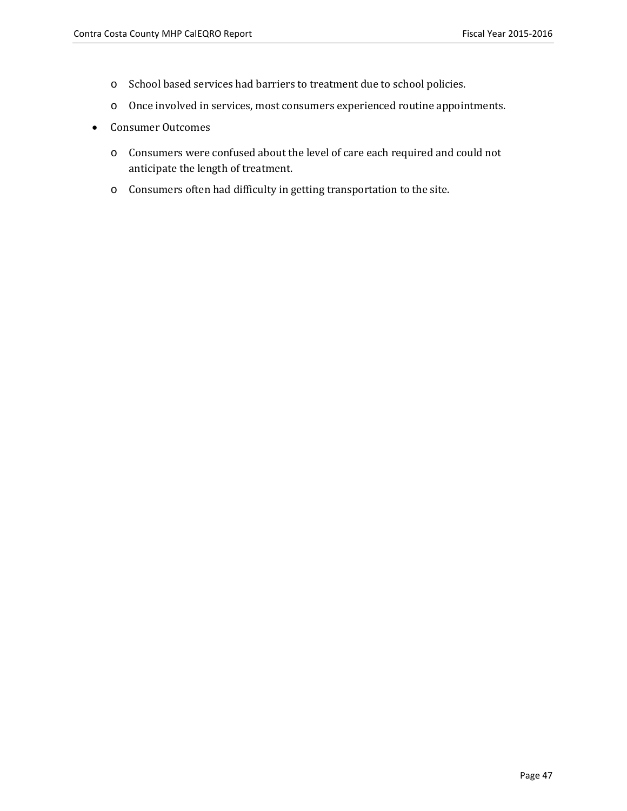- o School based services had barriers to treatment due to school policies.
- o Once involved in services, most consumers experienced routine appointments.
- Consumer Outcomes
	- o Consumers were confused about the level of care each required and could not anticipate the length of treatment.
	- o Consumers often had difficulty in getting transportation to the site.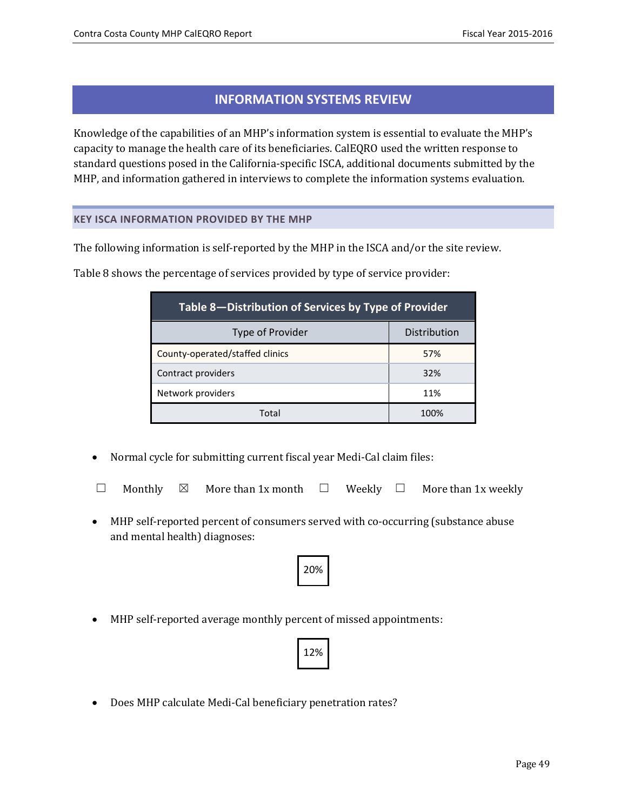### **INFORMATION SYSTEMS REVIEW**

Knowledge of the capabilities of an MHP's information system is essential to evaluate the MHP's capacity to manage the health care of its beneficiaries. CalEQRO used the written response to standard questions posed in the California-specific ISCA, additional documents submitted by the MHP, and information gathered in interviews to complete the information systems evaluation.

### **KEY ISCA INFORMATION PROVIDED BY THE MHP**

The following information is self-reported by the MHP in the ISCA and/or the site review.

| Table 8-Distribution of Services by Type of Provider |              |  |  |
|------------------------------------------------------|--------------|--|--|
| Type of Provider                                     | Distribution |  |  |
| County-operated/staffed clinics                      | 57%          |  |  |
| Contract providers                                   | 32%          |  |  |
| Network providers                                    | 11%          |  |  |

Table 8 shows the percentage of services provided by type of service provider:

• Normal cycle for submitting current fiscal year Medi-Cal claim files:

|  |  |  | $\Box$ Monthly $\boxtimes$ More than 1x month $\Box$ Weekly $\Box$ More than 1x weekly |  |  |  |  |
|--|--|--|----------------------------------------------------------------------------------------|--|--|--|--|
|--|--|--|----------------------------------------------------------------------------------------|--|--|--|--|

Total 100%

• MHP self-reported percent of consumers served with co-occurring (substance abuse and mental health) diagnoses:



• MHP self-reported average monthly percent of missed appointments:



• Does MHP calculate Medi-Cal beneficiary penetration rates?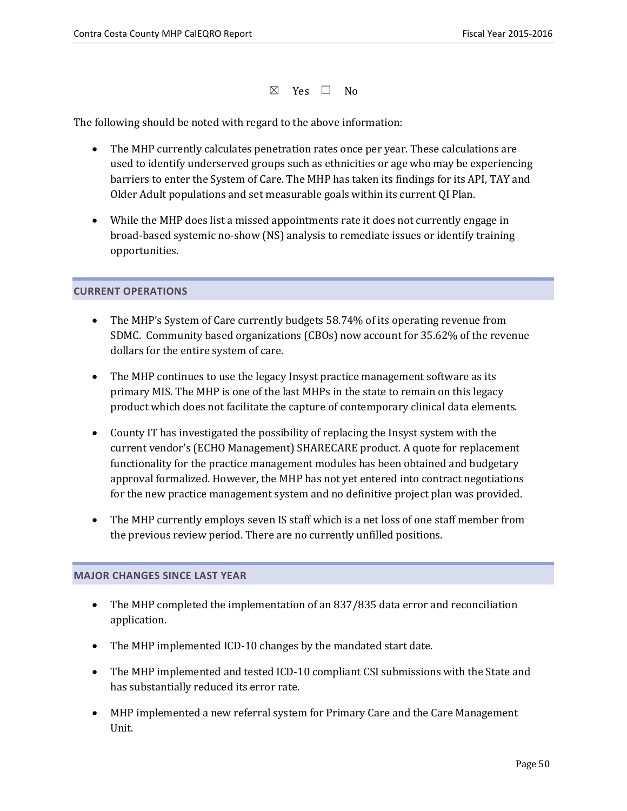$\boxtimes$  Yes  $\Box$  No

The following should be noted with regard to the above information:

- The MHP currently calculates penetration rates once per year. These calculations are used to identify underserved groups such as ethnicities or age who may be experiencing barriers to enter the System of Care. The MHP has taken its findings for its API, TAY and Older Adult populations and set measurable goals within its current QI Plan.
- While the MHP does list a missed appointments rate it does not currently engage in broad-based systemic no-show (NS) analysis to remediate issues or identify training opportunities.

### **CURRENT OPERATIONS**

- The MHP's System of Care currently budgets 58.74% of its operating revenue from SDMC. Community based organizations (CBOs) now account for 35.62% of the revenue dollars for the entire system of care.
- The MHP continues to use the legacy Insyst practice management software as its primary MIS. The MHP is one of the last MHPs in the state to remain on this legacy product which does not facilitate the capture of contemporary clinical data elements.
- County IT has investigated the possibility of replacing the Insyst system with the current vendor's (ECHO Management) SHARECARE product. A quote for replacement functionality for the practice management modules has been obtained and budgetary approval formalized. However, the MHP has not yet entered into contract negotiations for the new practice management system and no definitive project plan was provided.
- The MHP currently employs seven IS staff which is a net loss of one staff member from the previous review period. There are no currently unfilled positions.

#### **MAJOR CHANGES SINCE LAST YEAR**

- The MHP completed the implementation of an 837/835 data error and reconciliation application.
- The MHP implemented ICD-10 changes by the mandated start date.
- The MHP implemented and tested ICD-10 compliant CSI submissions with the State and has substantially reduced its error rate.
- MHP implemented a new referral system for Primary Care and the Care Management Unit.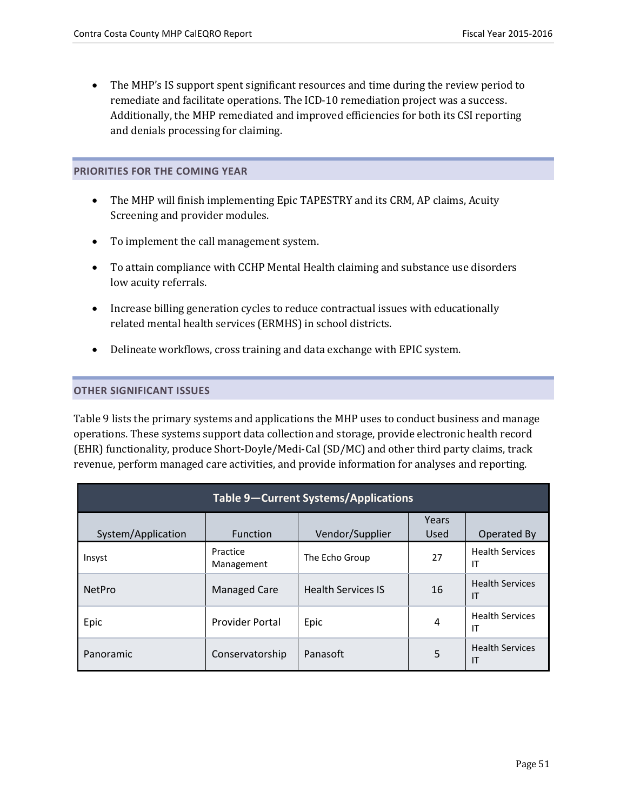• The MHP's IS support spent significant resources and time during the review period to remediate and facilitate operations. The ICD-10 remediation project was a success. Additionally, the MHP remediated and improved efficiencies for both its CSI reporting and denials processing for claiming.

### **PRIORITIES FOR THE COMING YEAR**

- The MHP will finish implementing Epic TAPESTRY and its CRM, AP claims, Acuity Screening and provider modules.
- To implement the call management system.
- To attain compliance with CCHP Mental Health claiming and substance use disorders low acuity referrals.
- Increase billing generation cycles to reduce contractual issues with educationally related mental health services (ERMHS) in school districts.
- Delineate workflows, cross training and data exchange with EPIC system.

### **OTHER SIGNIFICANT ISSUES**

Table 9 lists the primary systems and applications the MHP uses to conduct business and manage operations. These systems support data collection and storage, provide electronic health record (EHR) functionality, produce Short-Doyle/Medi-Cal (SD/MC) and other third party claims, track revenue, perform managed care activities, and provide information for analyses and reporting.

| <b>Table 9-Current Systems/Applications</b> |                        |                           |               |                              |  |
|---------------------------------------------|------------------------|---------------------------|---------------|------------------------------|--|
| System/Application                          | <b>Function</b>        | Vendor/Supplier           | Years<br>Used | Operated By                  |  |
| Insyst                                      | Practice<br>Management | The Echo Group            | 27            | <b>Health Services</b><br>ΙT |  |
| <b>NetPro</b>                               | <b>Managed Care</b>    | <b>Health Services IS</b> | 16            | <b>Health Services</b><br>IT |  |
| Epic                                        | <b>Provider Portal</b> | Epic                      | 4             | <b>Health Services</b><br>IT |  |
| Panoramic                                   | Conservatorship        | Panasoft                  | 5             | <b>Health Services</b><br>IT |  |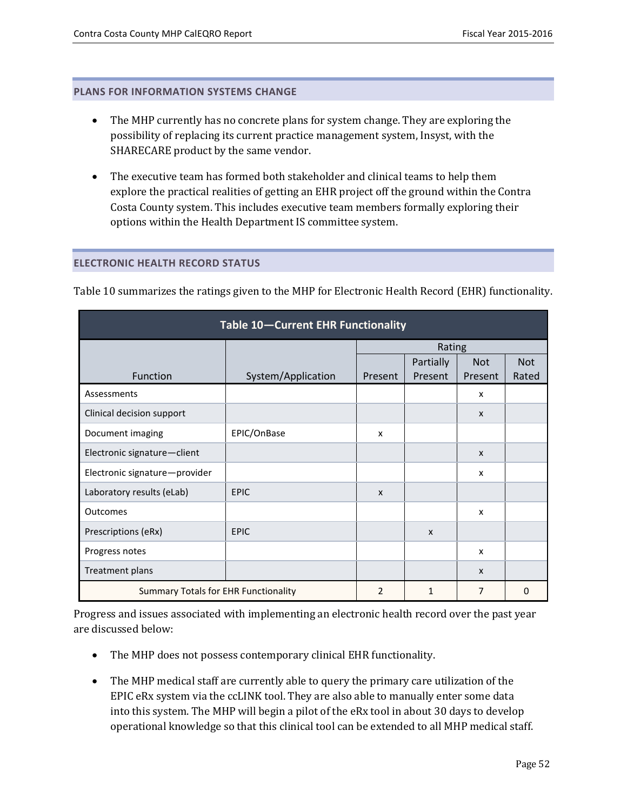#### **PLANS FOR INFORMATION SYSTEMS CHANGE**

- The MHP currently has no concrete plans for system change. They are exploring the possibility of replacing its current practice management system, Insyst, with the SHARECARE product by the same vendor.
- The executive team has formed both stakeholder and clinical teams to help them explore the practical realities of getting an EHR project off the ground within the Contra Costa County system. This includes executive team members formally exploring their options within the Health Department IS committee system.

#### **ELECTRONIC HEALTH RECORD STATUS**

| Table 10-Current EHR Functionality                                           |                    |                           |                  |                           |            |  |
|------------------------------------------------------------------------------|--------------------|---------------------------|------------------|---------------------------|------------|--|
|                                                                              |                    |                           | Rating           |                           |            |  |
|                                                                              |                    |                           | <b>Partially</b> | <b>Not</b>                | <b>Not</b> |  |
| Function                                                                     | System/Application | Present                   | Present          | Present                   | Rated      |  |
| Assessments                                                                  |                    |                           |                  | X                         |            |  |
| Clinical decision support                                                    |                    |                           |                  | $\mathsf{x}$              |            |  |
| Document imaging                                                             | EPIC/OnBase        | X                         |                  |                           |            |  |
| Electronic signature-client                                                  |                    |                           |                  | $\boldsymbol{\mathsf{x}}$ |            |  |
| Electronic signature-provider                                                |                    |                           |                  | $\boldsymbol{\mathsf{x}}$ |            |  |
| Laboratory results (eLab)                                                    | <b>EPIC</b>        | $\boldsymbol{\mathsf{x}}$ |                  |                           |            |  |
| Outcomes                                                                     |                    |                           |                  | x                         |            |  |
| Prescriptions (eRx)                                                          | <b>EPIC</b>        |                           | $\boldsymbol{x}$ |                           |            |  |
| Progress notes                                                               |                    |                           |                  | x                         |            |  |
| Treatment plans                                                              |                    |                           |                  | $\boldsymbol{\mathsf{x}}$ |            |  |
| <b>Summary Totals for EHR Functionality</b><br>2<br>$\overline{7}$<br>1<br>0 |                    |                           |                  |                           |            |  |

Table 10 summarizes the ratings given to the MHP for Electronic Health Record (EHR) functionality.

Progress and issues associated with implementing an electronic health record over the past year are discussed below:

- The MHP does not possess contemporary clinical EHR functionality.
- The MHP medical staff are currently able to query the primary care utilization of the EPIC eRx system via the ccLINK tool. They are also able to manually enter some data into this system. The MHP will begin a pilot of the eRx tool in about 30 days to develop operational knowledge so that this clinical tool can be extended to all MHP medical staff.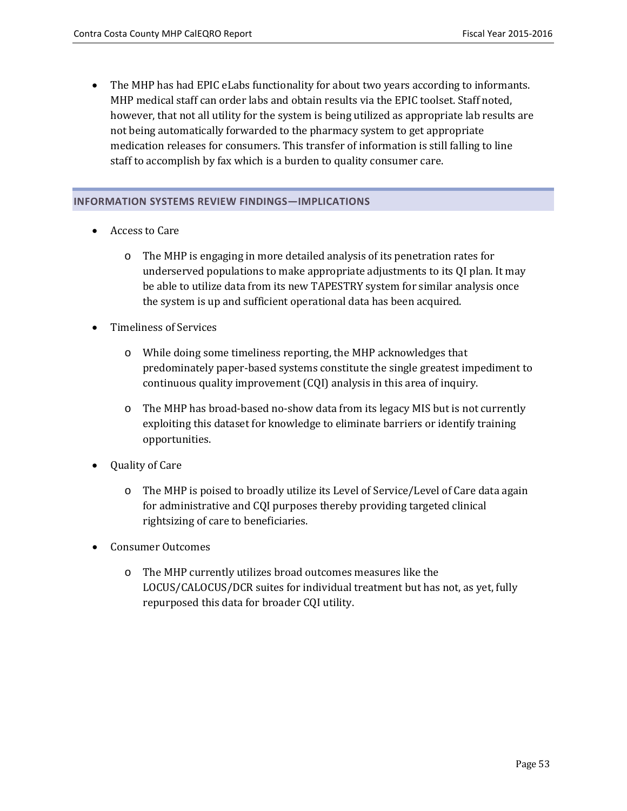• The MHP has had EPIC eLabs functionality for about two years according to informants. MHP medical staff can order labs and obtain results via the EPIC toolset. Staff noted, however, that not all utility for the system is being utilized as appropriate lab results are not being automatically forwarded to the pharmacy system to get appropriate medication releases for consumers. This transfer of information is still falling to line staff to accomplish by fax which is a burden to quality consumer care.

### **INFORMATION SYSTEMS REVIEW FINDINGS—IMPLICATIONS**

- Access to Care
	- o The MHP is engaging in more detailed analysis of its penetration rates for underserved populations to make appropriate adjustments to its QI plan. It may be able to utilize data from its new TAPESTRY system for similar analysis once the system is up and sufficient operational data has been acquired.
- Timeliness of Services
	- o While doing some timeliness reporting, the MHP acknowledges that predominately paper-based systems constitute the single greatest impediment to continuous quality improvement (CQI) analysis in this area of inquiry.
	- o The MHP has broad-based no-show data from its legacy MIS but is not currently exploiting this dataset for knowledge to eliminate barriers or identify training opportunities.
- Quality of Care
	- o The MHP is poised to broadly utilize its Level of Service/Level of Care data again for administrative and CQI purposes thereby providing targeted clinical rightsizing of care to beneficiaries.
- Consumer Outcomes
	- o The MHP currently utilizes broad outcomes measures like the LOCUS/CALOCUS/DCR suites for individual treatment but has not, as yet, fully repurposed this data for broader CQI utility.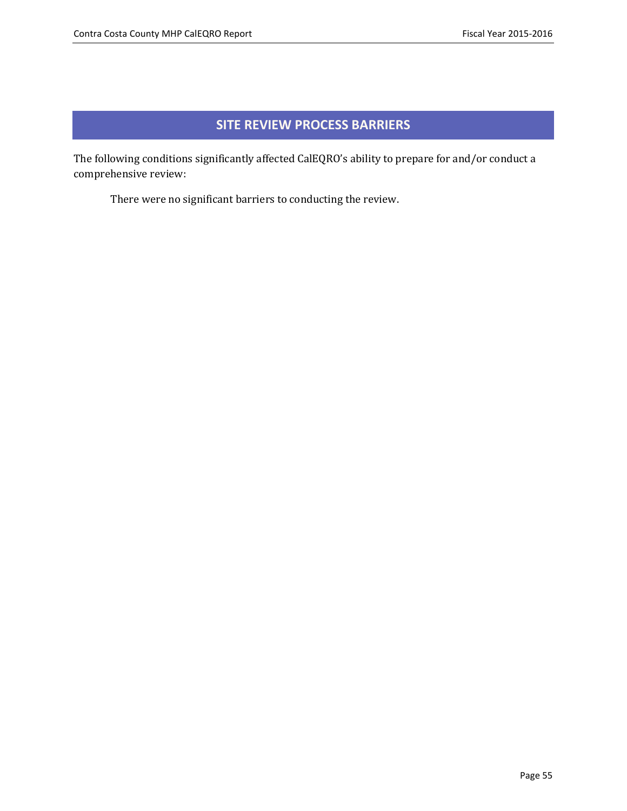### **SITE REVIEW PROCESS BARRIERS**

The following conditions significantly affected CalEQRO's ability to prepare for and/or conduct a comprehensive review:

There were no significant barriers to conducting the review.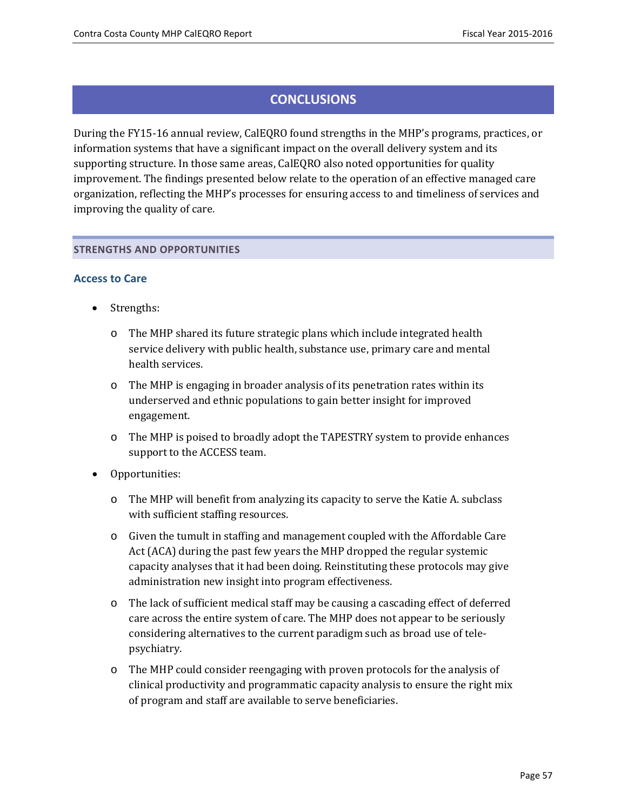### **CONCLUSIONS**

During the FY15-16 annual review, CalEQRO found strengths in the MHP's programs, practices, or information systems that have a significant impact on the overall delivery system and its supporting structure. In those same areas, CalEQRO also noted opportunities for quality improvement. The findings presented below relate to the operation of an effective managed care organization, reflecting the MHP's processes for ensuring access to and timeliness of services and improving the quality of care.

#### **STRENGTHS AND OPPORTUNITIES**

### **Access to Care**

- Strengths:
	- o The MHP shared its future strategic plans which include integrated health service delivery with public health, substance use, primary care and mental health services.
	- $\circ$  The MHP is engaging in broader analysis of its penetration rates within its underserved and ethnic populations to gain better insight for improved engagement.
	- o The MHP is poised to broadly adopt the TAPESTRY system to provide enhances support to the ACCESS team.
- Opportunities:
	- o The MHP will benefit from analyzing its capacity to serve the Katie A. subclass with sufficient staffing resources.
	- o Given the tumult in staffing and management coupled with the Affordable Care Act (ACA) during the past few years the MHP dropped the regular systemic capacity analyses that it had been doing. Reinstituting these protocols may give administration new insight into program effectiveness.
	- o The lack of sufficient medical staff may be causing a cascading effect of deferred care across the entire system of care. The MHP does not appear to be seriously considering alternatives to the current paradigm such as broad use of telepsychiatry.
	- o The MHP could consider reengaging with proven protocols for the analysis of clinical productivity and programmatic capacity analysis to ensure the right mix of program and staff are available to serve beneficiaries.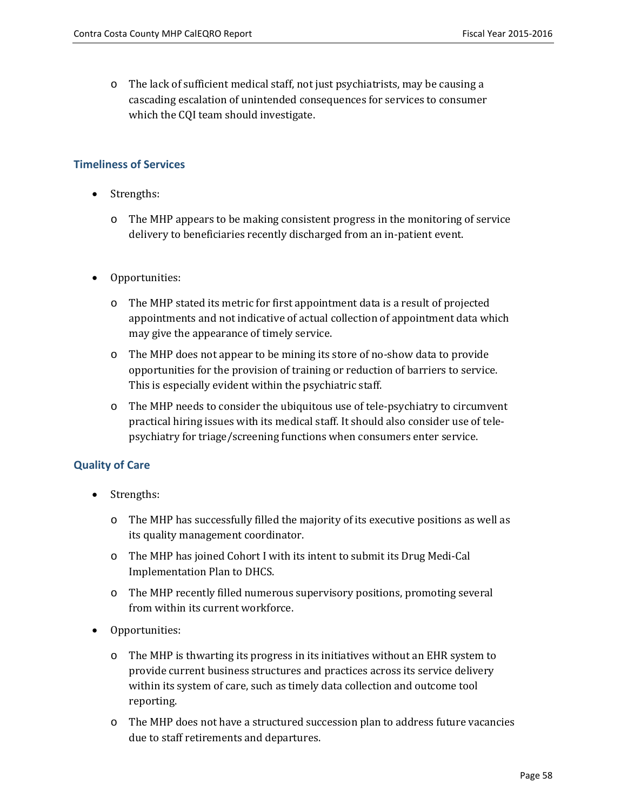o The lack of sufficient medical staff, not just psychiatrists, may be causing a cascading escalation of unintended consequences for services to consumer which the CQI team should investigate.

### **Timeliness of Services**

- Strengths:
	- o The MHP appears to be making consistent progress in the monitoring of service delivery to beneficiaries recently discharged from an in-patient event.
- Opportunities:
	- o The MHP stated its metric for first appointment data is a result of projected appointments and not indicative of actual collection of appointment data which may give the appearance of timely service.
	- o The MHP does not appear to be mining its store of no-show data to provide opportunities for the provision of training or reduction of barriers to service. This is especially evident within the psychiatric staff.
	- o The MHP needs to consider the ubiquitous use of tele-psychiatry to circumvent practical hiring issues with its medical staff. It should also consider use of telepsychiatry for triage/screening functions when consumers enter service.

### **Quality of Care**

- Strengths:
	- o The MHP has successfully filled the majority of its executive positions as well as its quality management coordinator.
	- o The MHP has joined Cohort I with its intent to submit its Drug Medi-Cal Implementation Plan to DHCS.
	- o The MHP recently filled numerous supervisory positions, promoting several from within its current workforce.
- Opportunities:
	- o The MHP is thwarting its progress in its initiatives without an EHR system to provide current business structures and practices across its service delivery within its system of care, such as timely data collection and outcome tool reporting.
	- o The MHP does not have a structured succession plan to address future vacancies due to staff retirements and departures.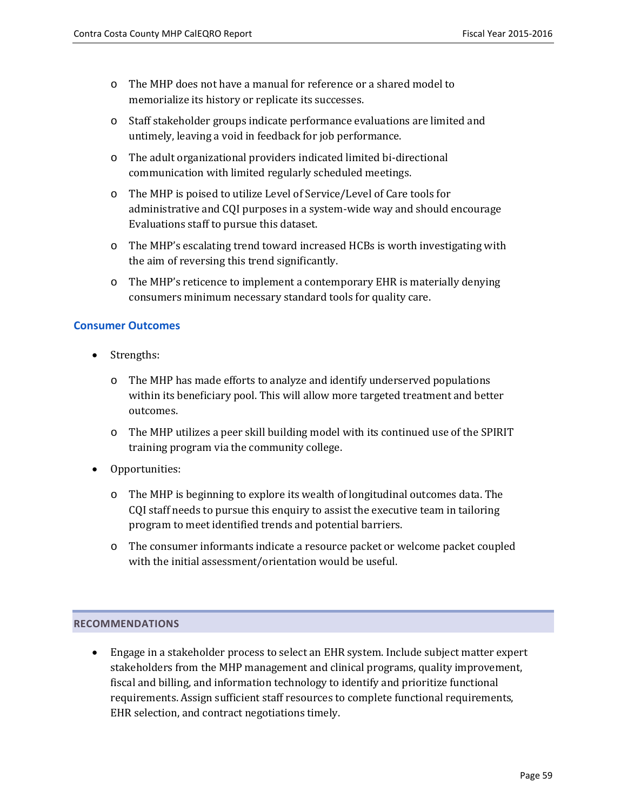- o The MHP does not have a manual for reference or a shared model to memorialize its history or replicate its successes.
- o Staff stakeholder groups indicate performance evaluations are limited and untimely, leaving a void in feedback for job performance.
- o The adult organizational providers indicated limited bi-directional communication with limited regularly scheduled meetings.
- o The MHP is poised to utilize Level of Service/Level of Care tools for administrative and CQI purposes in a system-wide way and should encourage Evaluations staff to pursue this dataset.
- o The MHP's escalating trend toward increased HCBs is worth investigating with the aim of reversing this trend significantly.
- o The MHP's reticence to implement a contemporary EHR is materially denying consumers minimum necessary standard tools for quality care.

### **Consumer Outcomes**

- Strengths:
	- o The MHP has made efforts to analyze and identify underserved populations within its beneficiary pool. This will allow more targeted treatment and better outcomes.
	- o The MHP utilizes a peer skill building model with its continued use of the SPIRIT training program via the community college.
- Opportunities:
	- o The MHP is beginning to explore its wealth of longitudinal outcomes data. The CQI staff needs to pursue this enquiry to assist the executive team in tailoring program to meet identified trends and potential barriers.
	- o The consumer informants indicate a resource packet or welcome packet coupled with the initial assessment/orientation would be useful.

### **RECOMMENDATIONS**

• Engage in a stakeholder process to select an EHR system. Include subject matter expert stakeholders from the MHP management and clinical programs, quality improvement, fiscal and billing, and information technology to identify and prioritize functional requirements. Assign sufficient staff resources to complete functional requirements, EHR selection, and contract negotiations timely.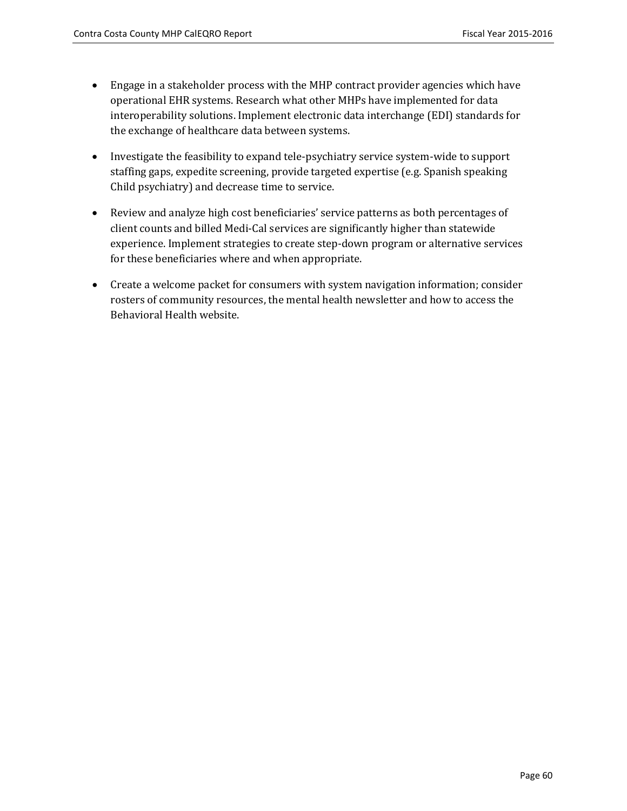- Engage in a stakeholder process with the MHP contract provider agencies which have operational EHR systems. Research what other MHPs have implemented for data interoperability solutions. Implement electronic data interchange (EDI) standards for the exchange of healthcare data between systems.
- Investigate the feasibility to expand tele-psychiatry service system-wide to support staffing gaps, expedite screening, provide targeted expertise (e.g. Spanish speaking Child psychiatry) and decrease time to service.
- Review and analyze high cost beneficiaries' service patterns as both percentages of client counts and billed Medi-Cal services are significantly higher than statewide experience. Implement strategies to create step-down program or alternative services for these beneficiaries where and when appropriate.
- Create a welcome packet for consumers with system navigation information; consider rosters of community resources, the mental health newsletter and how to access the Behavioral Health website.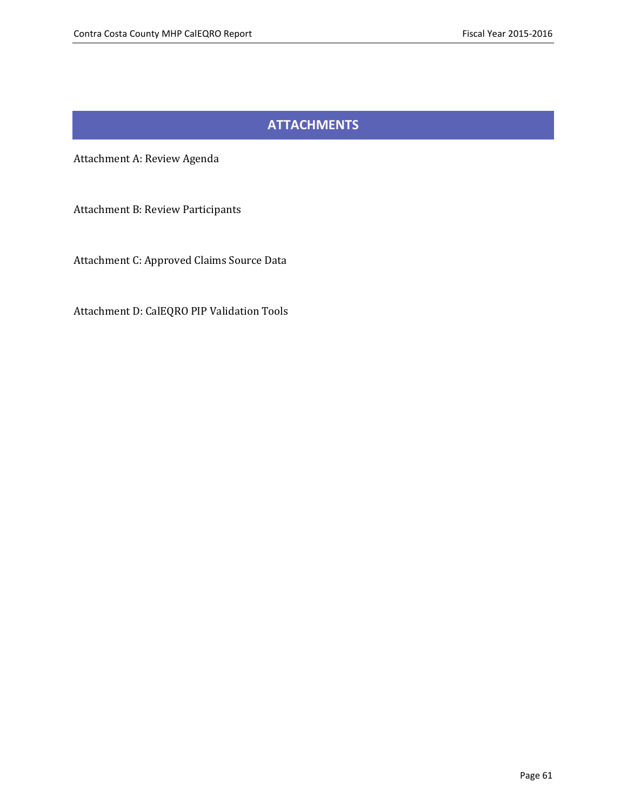### **ATTACHMENTS**

Attachment A: Review Agenda

Attachment B: Review Participants

Attachment C: Approved Claims Source Data

Attachment D: CalEQRO PIP Validation Tools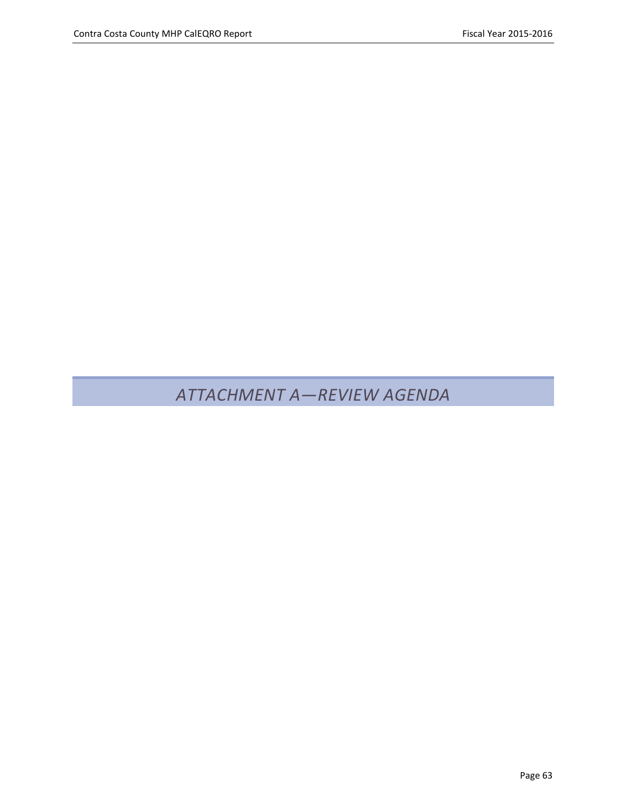# *ATTACHMENT A—REVIEW AGENDA*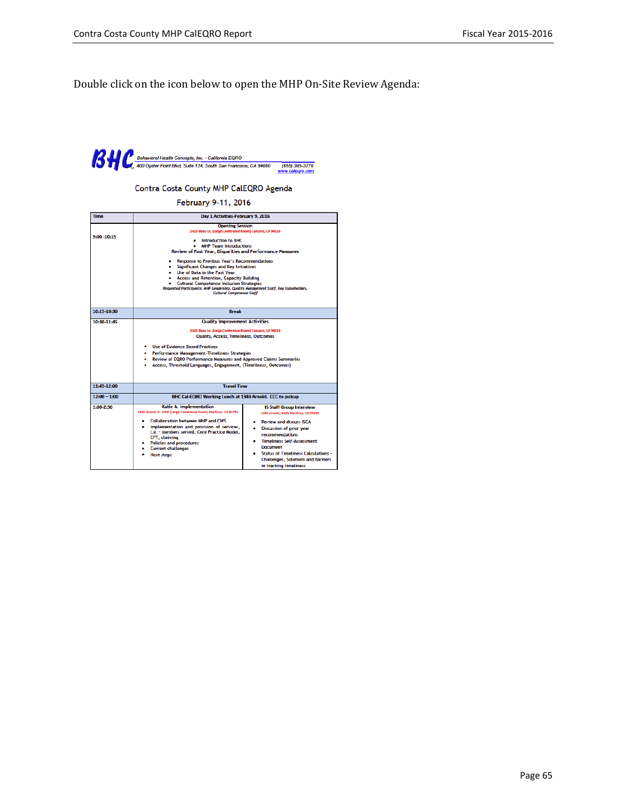Double click on the icon below to open the MHP On-Site Review Agenda:

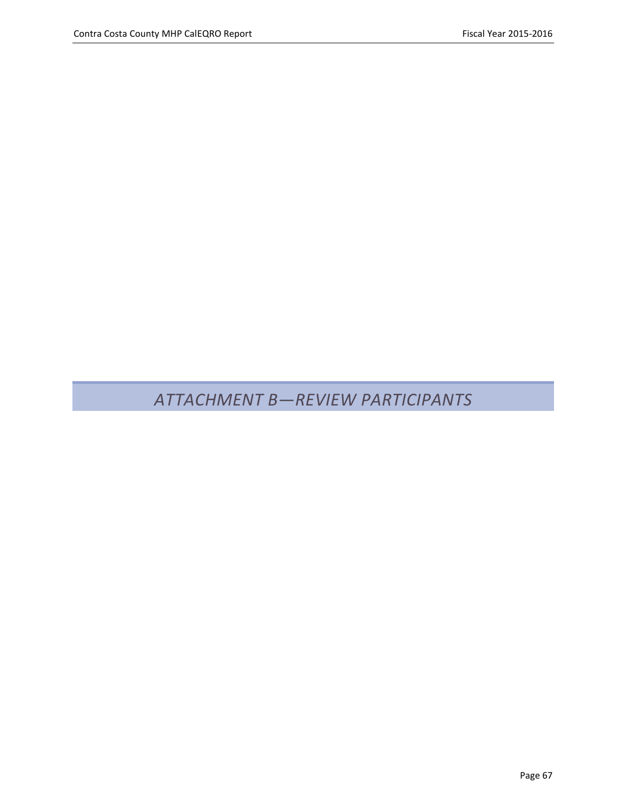# *ATTACHMENT B—REVIEW PARTICIPANTS*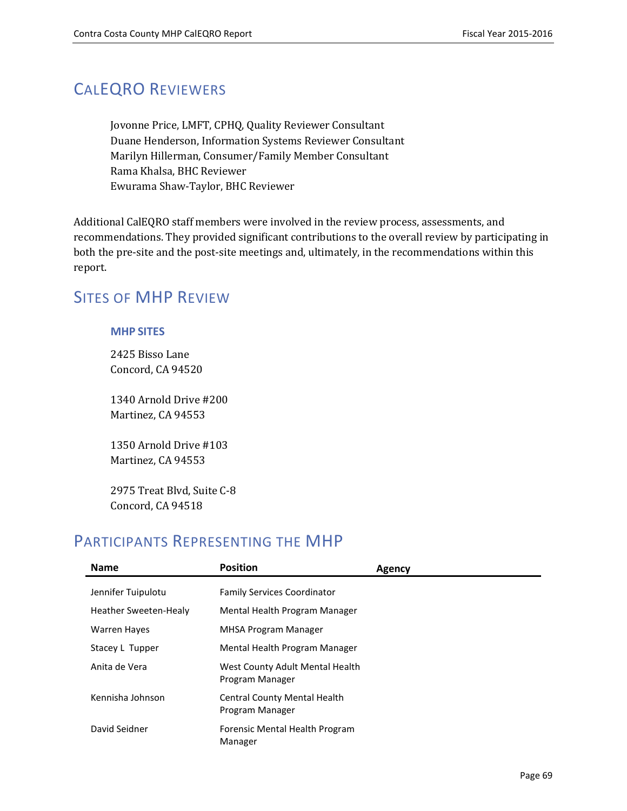## CALEQRO REVIEWERS

Jovonne Price, LMFT, CPHQ, Quality Reviewer Consultant Duane Henderson, Information Systems Reviewer Consultant Marilyn Hillerman, Consumer/Family Member Consultant Rama Khalsa, BHC Reviewer Ewurama Shaw-Taylor, BHC Reviewer

Additional CalEQRO staff members were involved in the review process, assessments, and recommendations. They provided significant contributions to the overall review by participating in both the pre-site and the post-site meetings and, ultimately, in the recommendations within this report.

### SITES OF MHP REVIEW

### **MHP SITES**

2425 Bisso Lane Concord, CA 94520

1340 Arnold Drive #200 Martinez, CA 94553

1350 Arnold Drive #103 Martinez, CA 94553

2975 Treat Blvd, Suite C-8 Concord, CA 94518

### PARTICIPANTS REPRESENTING THE MHP

| <b>Name</b>                  | <b>Position</b>                                        | Agency |
|------------------------------|--------------------------------------------------------|--------|
| Jennifer Tuipulotu           | <b>Family Services Coordinator</b>                     |        |
| <b>Heather Sweeten-Healy</b> | Mental Health Program Manager                          |        |
| <b>Warren Hayes</b>          | <b>MHSA Program Manager</b>                            |        |
| Stacey L Tupper              | Mental Health Program Manager                          |        |
| Anita de Vera                | West County Adult Mental Health<br>Program Manager     |        |
| Kennisha Johnson             | <b>Central County Mental Health</b><br>Program Manager |        |
| David Seidner                | Forensic Mental Health Program<br>Manager              |        |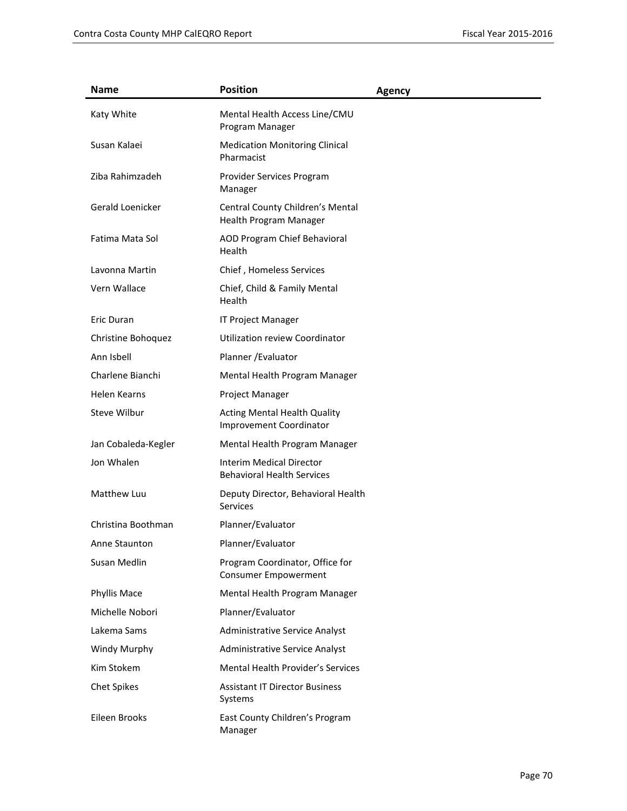| <b>Name</b>         | <b>Position</b>                                                       | <b>Agency</b> |
|---------------------|-----------------------------------------------------------------------|---------------|
| Katy White          | Mental Health Access Line/CMU<br>Program Manager                      |               |
| Susan Kalaei        | <b>Medication Monitoring Clinical</b><br>Pharmacist                   |               |
| Ziba Rahimzadeh     | Provider Services Program<br>Manager                                  |               |
| Gerald Loenicker    | Central County Children's Mental<br>Health Program Manager            |               |
| Fatima Mata Sol     | AOD Program Chief Behavioral<br>Health                                |               |
| Lavonna Martin      | Chief, Homeless Services                                              |               |
| Vern Wallace        | Chief, Child & Family Mental<br>Health                                |               |
| <b>Eric Duran</b>   | <b>IT Project Manager</b>                                             |               |
| Christine Bohoquez  | Utilization review Coordinator                                        |               |
| Ann Isbell          | Planner / Evaluator                                                   |               |
| Charlene Bianchi    | Mental Health Program Manager                                         |               |
| <b>Helen Kearns</b> | Project Manager                                                       |               |
| Steve Wilbur        | <b>Acting Mental Health Quality</b><br><b>Improvement Coordinator</b> |               |
| Jan Cobaleda-Kegler | Mental Health Program Manager                                         |               |
| Jon Whalen          | <b>Interim Medical Director</b><br><b>Behavioral Health Services</b>  |               |
| Matthew Luu         | Deputy Director, Behavioral Health<br><b>Services</b>                 |               |
| Christina Boothman  | Planner/Evaluator                                                     |               |
| Anne Staunton       | Planner/Evaluator                                                     |               |
| Susan Medlin        | Program Coordinator, Office for<br><b>Consumer Empowerment</b>        |               |
| Phyllis Mace        | Mental Health Program Manager                                         |               |
| Michelle Nobori     | Planner/Evaluator                                                     |               |
| Lakema Sams         | Administrative Service Analyst                                        |               |
| Windy Murphy        | Administrative Service Analyst                                        |               |
| Kim Stokem          | Mental Health Provider's Services                                     |               |
| <b>Chet Spikes</b>  | <b>Assistant IT Director Business</b><br>Systems                      |               |
| Eileen Brooks       | East County Children's Program<br>Manager                             |               |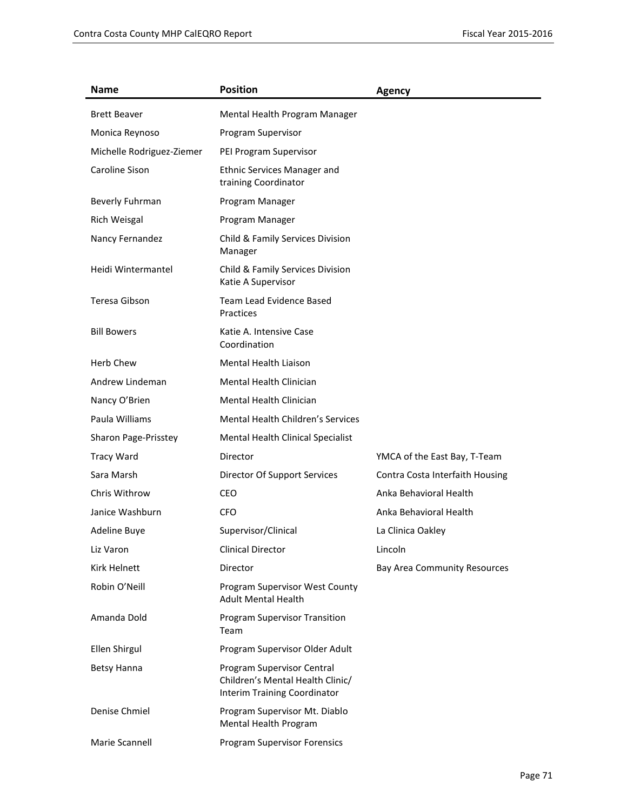| Name                      | <b>Position</b>                                                                                | <b>Agency</b>                   |
|---------------------------|------------------------------------------------------------------------------------------------|---------------------------------|
| <b>Brett Beaver</b>       | Mental Health Program Manager                                                                  |                                 |
| Monica Reynoso            | Program Supervisor                                                                             |                                 |
| Michelle Rodriguez-Ziemer | PEI Program Supervisor                                                                         |                                 |
| Caroline Sison            | <b>Ethnic Services Manager and</b><br>training Coordinator                                     |                                 |
| Beverly Fuhrman           | Program Manager                                                                                |                                 |
| Rich Weisgal              | Program Manager                                                                                |                                 |
| Nancy Fernandez           | Child & Family Services Division<br>Manager                                                    |                                 |
| Heidi Wintermantel        | Child & Family Services Division<br>Katie A Supervisor                                         |                                 |
| Teresa Gibson             | Team Lead Evidence Based<br>Practices                                                          |                                 |
| <b>Bill Bowers</b>        | Katie A. Intensive Case<br>Coordination                                                        |                                 |
| <b>Herb Chew</b>          | Mental Health Liaison                                                                          |                                 |
| Andrew Lindeman           | Mental Health Clinician                                                                        |                                 |
| Nancy O'Brien             | <b>Mental Health Clinician</b>                                                                 |                                 |
| Paula Williams            | <b>Mental Health Children's Services</b>                                                       |                                 |
| Sharon Page-Prisstey      | Mental Health Clinical Specialist                                                              |                                 |
| <b>Tracy Ward</b>         | Director                                                                                       | YMCA of the East Bay, T-Team    |
| Sara Marsh                | Director Of Support Services                                                                   | Contra Costa Interfaith Housing |
| Chris Withrow             | CEO                                                                                            | Anka Behavioral Health          |
| Janice Washburn           | <b>CFO</b>                                                                                     | Anka Behavioral Health          |
| Adeline Buye              | Supervisor/Clinical                                                                            | La Clinica Oakley               |
| Liz Varon                 | <b>Clinical Director</b>                                                                       | Lincoln                         |
| Kirk Helnett              | Director                                                                                       | Bay Area Community Resources    |
| Robin O'Neill             | Program Supervisor West County<br><b>Adult Mental Health</b>                                   |                                 |
| Amanda Dold               | Program Supervisor Transition<br>Team                                                          |                                 |
| Ellen Shirgul             | Program Supervisor Older Adult                                                                 |                                 |
| Betsy Hanna               | Program Supervisor Central<br>Children's Mental Health Clinic/<br>Interim Training Coordinator |                                 |
| Denise Chmiel             | Program Supervisor Mt. Diablo<br>Mental Health Program                                         |                                 |
| Marie Scannell            | <b>Program Supervisor Forensics</b>                                                            |                                 |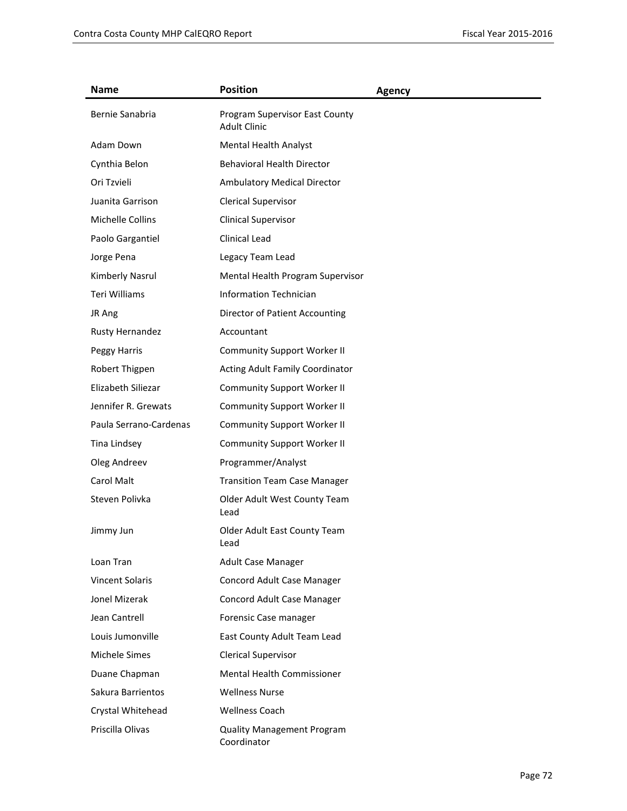| <b>Name</b>            | <b>Position</b>                                       | <b>Agency</b> |
|------------------------|-------------------------------------------------------|---------------|
| Bernie Sanabria        | Program Supervisor East County<br><b>Adult Clinic</b> |               |
| Adam Down              | <b>Mental Health Analyst</b>                          |               |
| Cynthia Belon          | <b>Behavioral Health Director</b>                     |               |
| Ori Tzvieli            | Ambulatory Medical Director                           |               |
| Juanita Garrison       | <b>Clerical Supervisor</b>                            |               |
| Michelle Collins       | <b>Clinical Supervisor</b>                            |               |
| Paolo Gargantiel       | Clinical Lead                                         |               |
| Jorge Pena             | Legacy Team Lead                                      |               |
| Kimberly Nasrul        | Mental Health Program Supervisor                      |               |
| Teri Williams          | <b>Information Technician</b>                         |               |
| JR Ang                 | Director of Patient Accounting                        |               |
| Rusty Hernandez        | Accountant                                            |               |
| Peggy Harris           | <b>Community Support Worker II</b>                    |               |
| Robert Thigpen         | Acting Adult Family Coordinator                       |               |
| Elizabeth Siliezar     | <b>Community Support Worker II</b>                    |               |
| Jennifer R. Grewats    | <b>Community Support Worker II</b>                    |               |
| Paula Serrano-Cardenas | <b>Community Support Worker II</b>                    |               |
| Tina Lindsey           | <b>Community Support Worker II</b>                    |               |
| Oleg Andreev           | Programmer/Analyst                                    |               |
| Carol Malt             | <b>Transition Team Case Manager</b>                   |               |
| Steven Polivka         | Older Adult West County Team<br>Lead                  |               |
| Jimmy Jun              | Older Adult East County Team<br>Lead                  |               |
| Loan Tran              | Adult Case Manager                                    |               |
| <b>Vincent Solaris</b> | Concord Adult Case Manager                            |               |
| Jonel Mizerak          | Concord Adult Case Manager                            |               |
| Jean Cantrell          | Forensic Case manager                                 |               |
| Louis Jumonville       | East County Adult Team Lead                           |               |
| Michele Simes          | Clerical Supervisor                                   |               |
| Duane Chapman          | Mental Health Commissioner                            |               |
| Sakura Barrientos      | <b>Wellness Nurse</b>                                 |               |
| Crystal Whitehead      | <b>Wellness Coach</b>                                 |               |
| Priscilla Olivas       | <b>Quality Management Program</b><br>Coordinator      |               |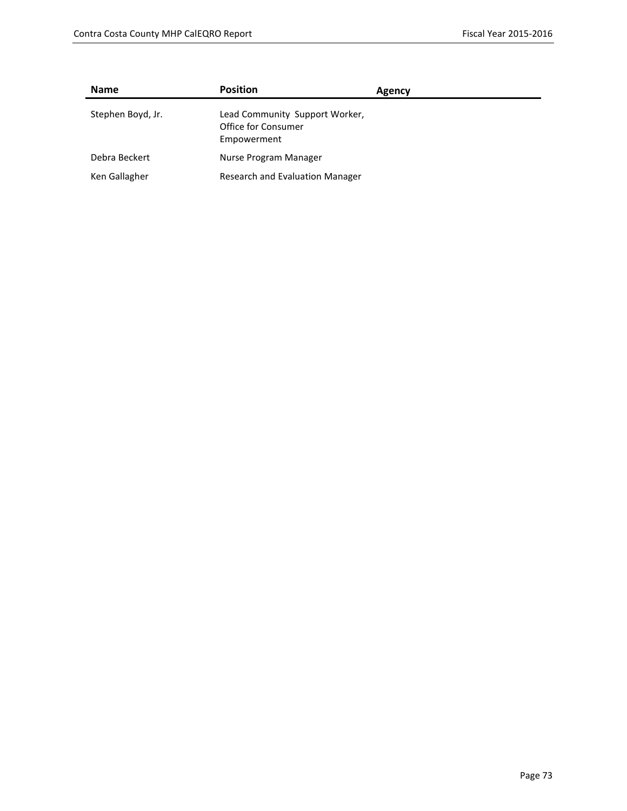| <b>Name</b>       | <b>Position</b>                                                      | Agency |
|-------------------|----------------------------------------------------------------------|--------|
| Stephen Boyd, Jr. | Lead Community Support Worker,<br>Office for Consumer<br>Empowerment |        |
| Debra Beckert     | Nurse Program Manager                                                |        |
| Ken Gallagher     | Research and Evaluation Manager                                      |        |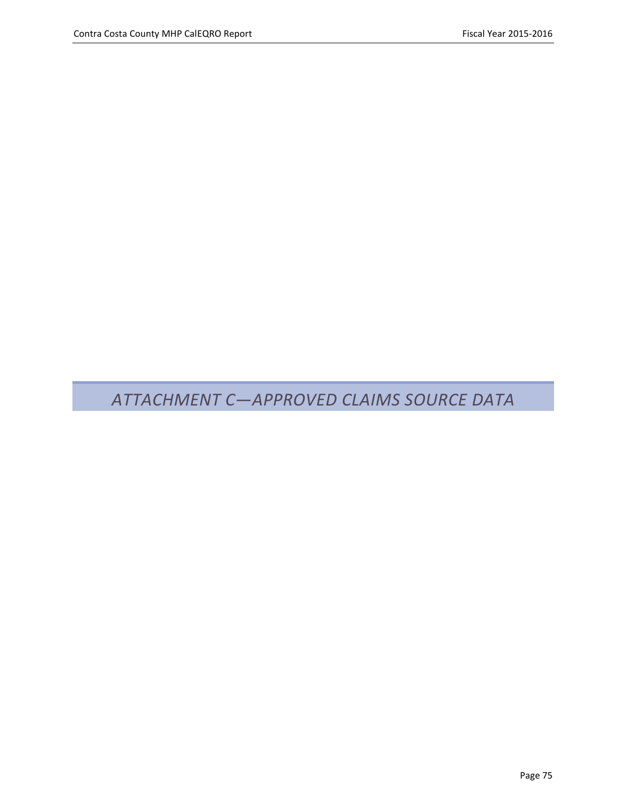## *ATTACHMENT C—APPROVED CLAIMS SOURCE DATA*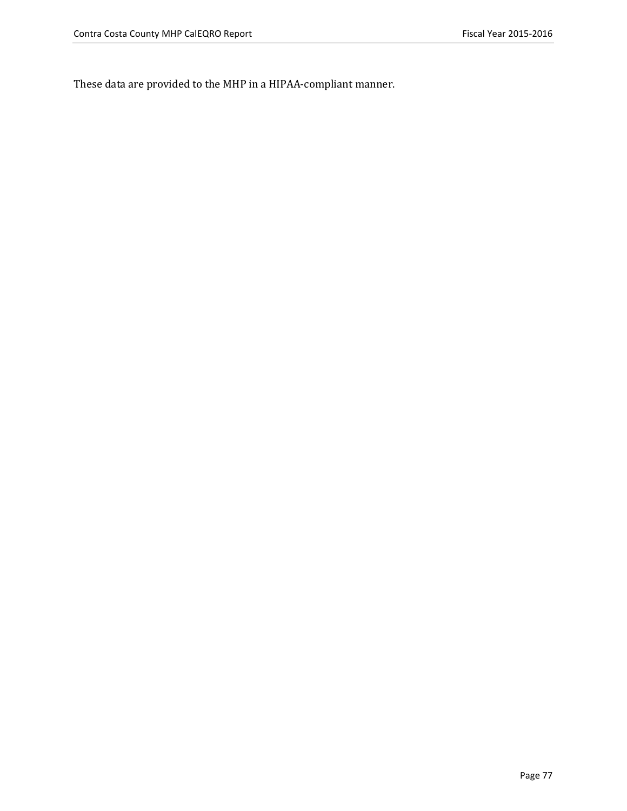These data are provided to the MHP in a HIPAA-compliant manner.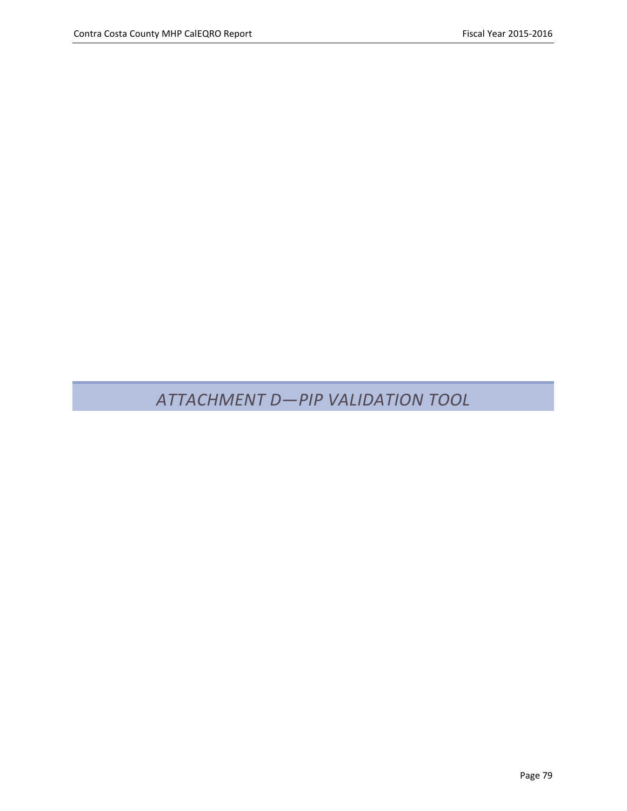*ATTACHMENT D—PIP VALIDATION TOOL*